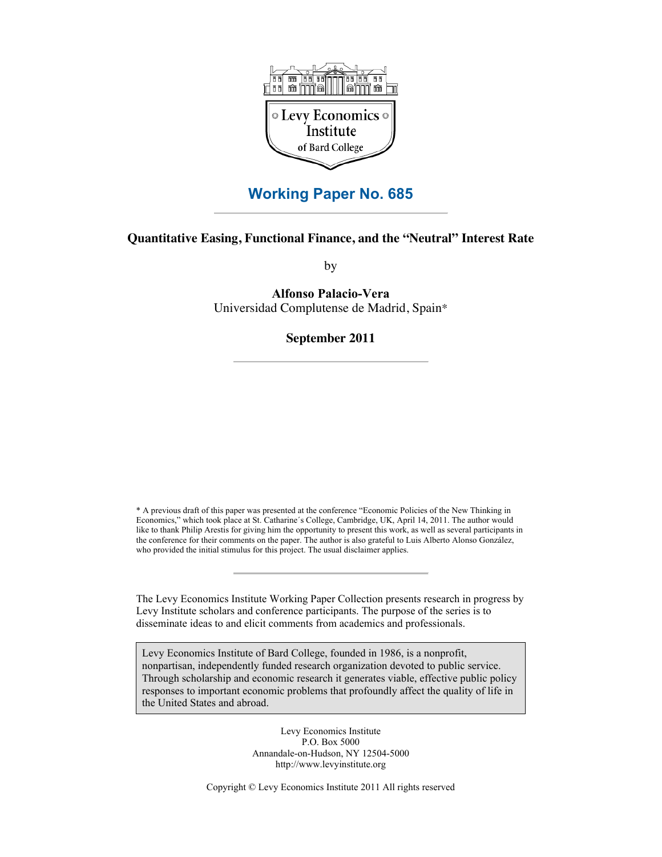

# **Working Paper No. 685**

# **Quantitative Easing, Functional Finance, and the "Neutral" Interest Rate**

by

**Alfonso Palacio-Vera** Universidad Complutense de Madrid, Spain\*

# **September 2011**

\* A previous draft of this paper was presented at the conference "Economic Policies of the New Thinking in Economics," which took place at St. Catharine´s College, Cambridge, UK, April 14, 2011. The author would like to thank Philip Arestis for giving him the opportunity to present this work, as well as several participants in the conference for their comments on the paper. The author is also grateful to Luis Alberto Alonso González, who provided the initial stimulus for this project. The usual disclaimer applies.

The Levy Economics Institute Working Paper Collection presents research in progress by Levy Institute scholars and conference participants. The purpose of the series is to disseminate ideas to and elicit comments from academics and professionals.

Levy Economics Institute of Bard College, founded in 1986, is a nonprofit, nonpartisan, independently funded research organization devoted to public service. Through scholarship and economic research it generates viable, effective public policy responses to important economic problems that profoundly affect the quality of life in the United States and abroad.

> Levy Economics Institute P.O. Box 5000 Annandale-on-Hudson, NY 12504-5000 http://www.levyinstitute.org

Copyright © Levy Economics Institute 2011 All rights reserved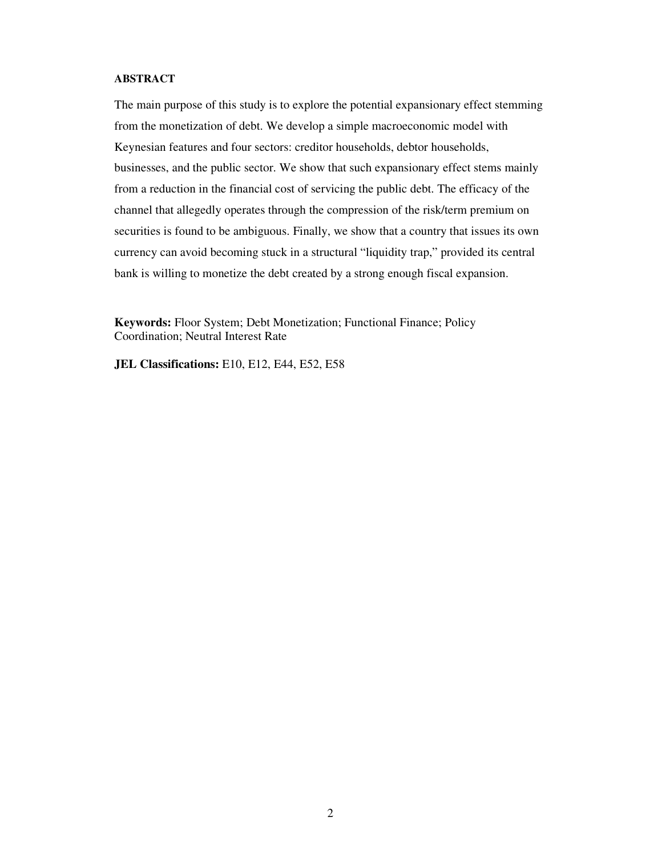## **ABSTRACT**

The main purpose of this study is to explore the potential expansionary effect stemming from the monetization of debt. We develop a simple macroeconomic model with Keynesian features and four sectors: creditor households, debtor households, businesses, and the public sector. We show that such expansionary effect stems mainly from a reduction in the financial cost of servicing the public debt. The efficacy of the channel that allegedly operates through the compression of the risk/term premium on securities is found to be ambiguous. Finally, we show that a country that issues its own currency can avoid becoming stuck in a structural "liquidity trap," provided its central bank is willing to monetize the debt created by a strong enough fiscal expansion.

**Keywords:** Floor System; Debt Monetization; Functional Finance; Policy Coordination; Neutral Interest Rate

**JEL Classifications:** E10, E12, E44, E52, E58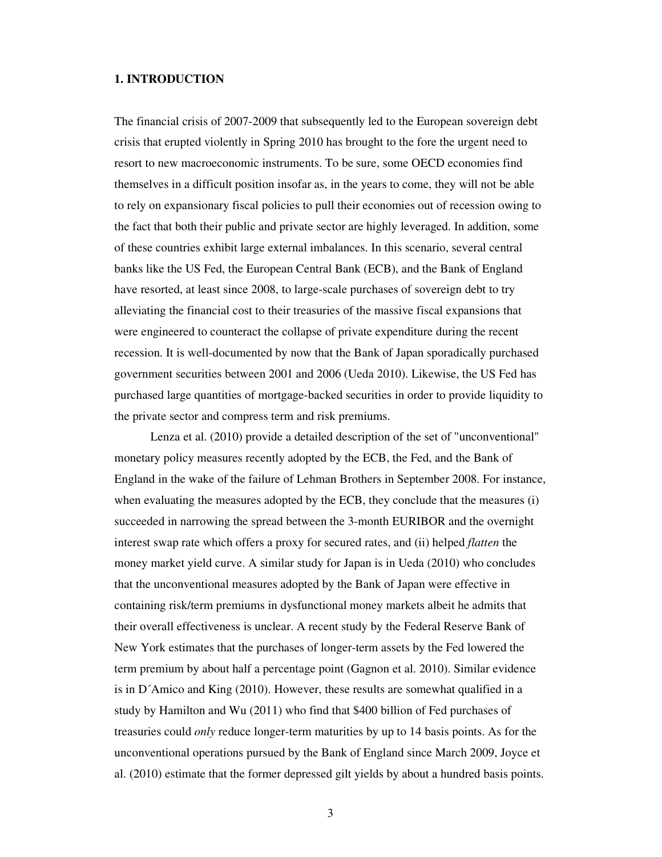# **1. INTRODUCTION**

The financial crisis of 2007-2009 that subsequently led to the European sovereign debt crisis that erupted violently in Spring 2010 has brought to the fore the urgent need to resort to new macroeconomic instruments. To be sure, some OECD economies find themselves in a difficult position insofar as, in the years to come, they will not be able to rely on expansionary fiscal policies to pull their economies out of recession owing to the fact that both their public and private sector are highly leveraged. In addition, some of these countries exhibit large external imbalances. In this scenario, several central banks like the US Fed, the European Central Bank (ECB), and the Bank of England have resorted, at least since 2008, to large-scale purchases of sovereign debt to try alleviating the financial cost to their treasuries of the massive fiscal expansions that were engineered to counteract the collapse of private expenditure during the recent recession. It is well-documented by now that the Bank of Japan sporadically purchased government securities between 2001 and 2006 (Ueda 2010). Likewise, the US Fed has purchased large quantities of mortgage-backed securities in order to provide liquidity to the private sector and compress term and risk premiums.

Lenza et al. (2010) provide a detailed description of the set of "unconventional" monetary policy measures recently adopted by the ECB, the Fed, and the Bank of England in the wake of the failure of Lehman Brothers in September 2008. For instance, when evaluating the measures adopted by the ECB, they conclude that the measures (i) succeeded in narrowing the spread between the 3-month EURIBOR and the overnight interest swap rate which offers a proxy for secured rates, and (ii) helped *flatten* the money market yield curve. A similar study for Japan is in Ueda (2010) who concludes that the unconventional measures adopted by the Bank of Japan were effective in containing risk/term premiums in dysfunctional money markets albeit he admits that their overall effectiveness is unclear. A recent study by the Federal Reserve Bank of New York estimates that the purchases of longer-term assets by the Fed lowered the term premium by about half a percentage point (Gagnon et al. 2010). Similar evidence is in D´Amico and King (2010). However, these results are somewhat qualified in a study by Hamilton and Wu (2011) who find that \$400 billion of Fed purchases of treasuries could *only* reduce longer-term maturities by up to 14 basis points. As for the unconventional operations pursued by the Bank of England since March 2009, Joyce et al. (2010) estimate that the former depressed gilt yields by about a hundred basis points.

3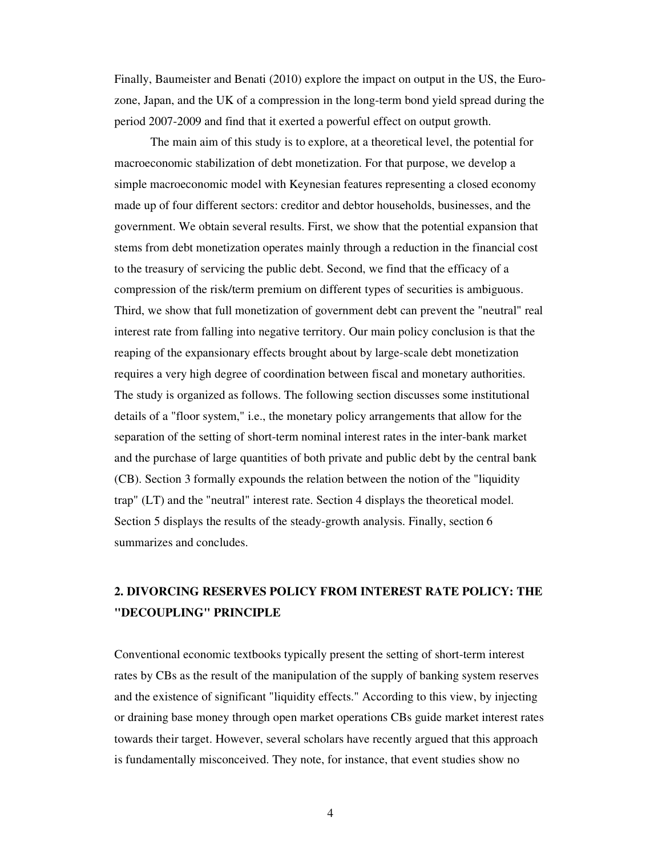Finally, Baumeister and Benati (2010) explore the impact on output in the US, the Eurozone, Japan, and the UK of a compression in the long-term bond yield spread during the period 2007-2009 and find that it exerted a powerful effect on output growth.

 The main aim of this study is to explore, at a theoretical level, the potential for macroeconomic stabilization of debt monetization. For that purpose, we develop a simple macroeconomic model with Keynesian features representing a closed economy made up of four different sectors: creditor and debtor households, businesses, and the government. We obtain several results. First, we show that the potential expansion that stems from debt monetization operates mainly through a reduction in the financial cost to the treasury of servicing the public debt. Second, we find that the efficacy of a compression of the risk/term premium on different types of securities is ambiguous. Third, we show that full monetization of government debt can prevent the "neutral" real interest rate from falling into negative territory. Our main policy conclusion is that the reaping of the expansionary effects brought about by large-scale debt monetization requires a very high degree of coordination between fiscal and monetary authorities. The study is organized as follows. The following section discusses some institutional details of a "floor system," i.e., the monetary policy arrangements that allow for the separation of the setting of short-term nominal interest rates in the inter-bank market and the purchase of large quantities of both private and public debt by the central bank (CB). Section 3 formally expounds the relation between the notion of the "liquidity trap" (LT) and the "neutral" interest rate. Section 4 displays the theoretical model. Section 5 displays the results of the steady-growth analysis. Finally, section 6 summarizes and concludes.

# **2. DIVORCING RESERVES POLICY FROM INTEREST RATE POLICY: THE "DECOUPLING" PRINCIPLE**

Conventional economic textbooks typically present the setting of short-term interest rates by CBs as the result of the manipulation of the supply of banking system reserves and the existence of significant "liquidity effects." According to this view, by injecting or draining base money through open market operations CBs guide market interest rates towards their target. However, several scholars have recently argued that this approach is fundamentally misconceived. They note, for instance, that event studies show no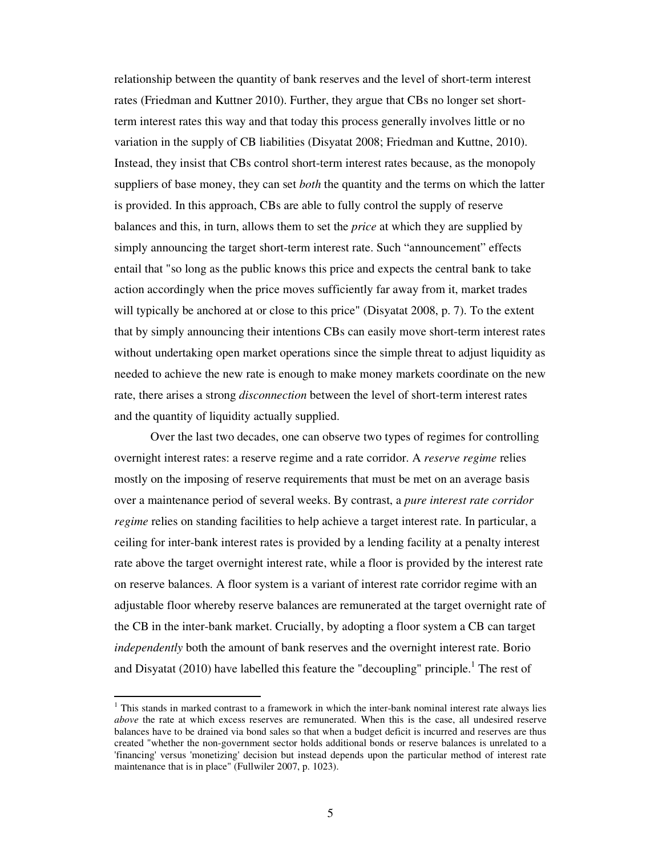relationship between the quantity of bank reserves and the level of short-term interest rates (Friedman and Kuttner 2010). Further, they argue that CBs no longer set shortterm interest rates this way and that today this process generally involves little or no variation in the supply of CB liabilities (Disyatat 2008; Friedman and Kuttne, 2010). Instead, they insist that CBs control short-term interest rates because, as the monopoly suppliers of base money, they can set *both* the quantity and the terms on which the latter is provided. In this approach, CBs are able to fully control the supply of reserve balances and this, in turn, allows them to set the *price* at which they are supplied by simply announcing the target short-term interest rate. Such "announcement" effects entail that "so long as the public knows this price and expects the central bank to take action accordingly when the price moves sufficiently far away from it, market trades will typically be anchored at or close to this price" (Disyatat 2008, p. 7). To the extent that by simply announcing their intentions CBs can easily move short-term interest rates without undertaking open market operations since the simple threat to adjust liquidity as needed to achieve the new rate is enough to make money markets coordinate on the new rate, there arises a strong *disconnection* between the level of short-term interest rates and the quantity of liquidity actually supplied.

Over the last two decades, one can observe two types of regimes for controlling overnight interest rates: a reserve regime and a rate corridor. A *reserve regime* relies mostly on the imposing of reserve requirements that must be met on an average basis over a maintenance period of several weeks. By contrast, a *pure interest rate corridor regime* relies on standing facilities to help achieve a target interest rate. In particular, a ceiling for inter-bank interest rates is provided by a lending facility at a penalty interest rate above the target overnight interest rate, while a floor is provided by the interest rate on reserve balances. A floor system is a variant of interest rate corridor regime with an adjustable floor whereby reserve balances are remunerated at the target overnight rate of the CB in the inter-bank market. Crucially, by adopting a floor system a CB can target *independently* both the amount of bank reserves and the overnight interest rate. Borio and Disyatat (2010) have labelled this feature the "decoupling" principle.<sup>1</sup> The rest of

 $\ddot{\phantom{a}}$ 

<sup>&</sup>lt;sup>1</sup> This stands in marked contrast to a framework in which the inter-bank nominal interest rate always lies *above* the rate at which excess reserves are remunerated. When this is the case, all undesired reserve balances have to be drained via bond sales so that when a budget deficit is incurred and reserves are thus created "whether the non-government sector holds additional bonds or reserve balances is unrelated to a 'financing' versus 'monetizing' decision but instead depends upon the particular method of interest rate maintenance that is in place" (Fullwiler 2007, p. 1023).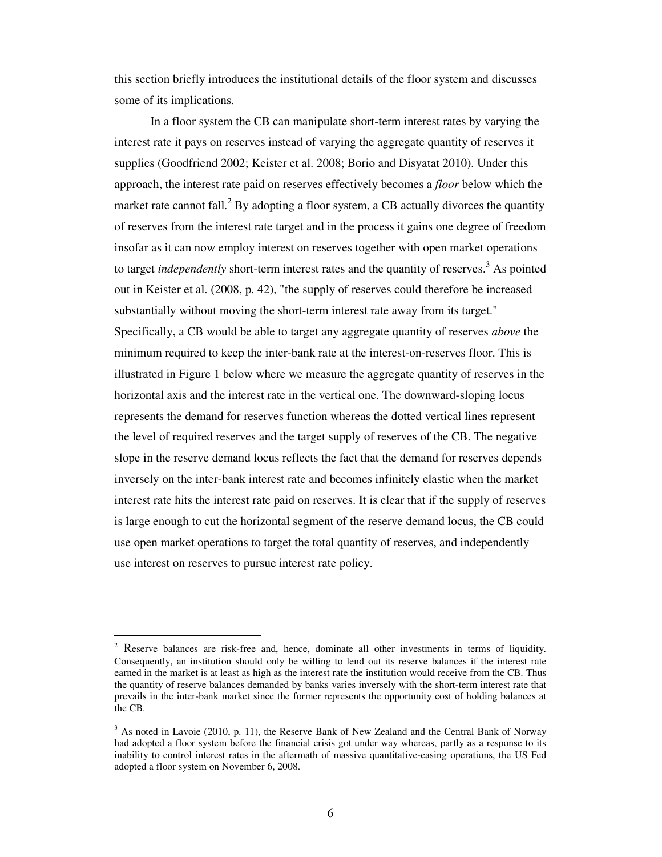this section briefly introduces the institutional details of the floor system and discusses some of its implications.

In a floor system the CB can manipulate short-term interest rates by varying the interest rate it pays on reserves instead of varying the aggregate quantity of reserves it supplies (Goodfriend 2002; Keister et al. 2008; Borio and Disyatat 2010). Under this approach, the interest rate paid on reserves effectively becomes a *floor* below which the market rate cannot fall.<sup>2</sup> By adopting a floor system, a CB actually divorces the quantity of reserves from the interest rate target and in the process it gains one degree of freedom insofar as it can now employ interest on reserves together with open market operations to target *independently* short-term interest rates and the quantity of reserves.<sup>3</sup> As pointed out in Keister et al. (2008, p. 42), "the supply of reserves could therefore be increased substantially without moving the short-term interest rate away from its target." Specifically, a CB would be able to target any aggregate quantity of reserves *above* the minimum required to keep the inter-bank rate at the interest-on-reserves floor. This is illustrated in Figure 1 below where we measure the aggregate quantity of reserves in the horizontal axis and the interest rate in the vertical one. The downward-sloping locus represents the demand for reserves function whereas the dotted vertical lines represent the level of required reserves and the target supply of reserves of the CB. The negative slope in the reserve demand locus reflects the fact that the demand for reserves depends inversely on the inter-bank interest rate and becomes infinitely elastic when the market interest rate hits the interest rate paid on reserves. It is clear that if the supply of reserves is large enough to cut the horizontal segment of the reserve demand locus, the CB could use open market operations to target the total quantity of reserves, and independently use interest on reserves to pursue interest rate policy.

 $\ddot{\phantom{a}}$ 

 $2^2$  Reserve balances are risk-free and, hence, dominate all other investments in terms of liquidity. Consequently, an institution should only be willing to lend out its reserve balances if the interest rate earned in the market is at least as high as the interest rate the institution would receive from the CB. Thus the quantity of reserve balances demanded by banks varies inversely with the short-term interest rate that prevails in the inter-bank market since the former represents the opportunity cost of holding balances at the CB.

 $3$  As noted in Lavoie (2010, p. 11), the Reserve Bank of New Zealand and the Central Bank of Norway had adopted a floor system before the financial crisis got under way whereas, partly as a response to its inability to control interest rates in the aftermath of massive quantitative-easing operations, the US Fed adopted a floor system on November 6, 2008.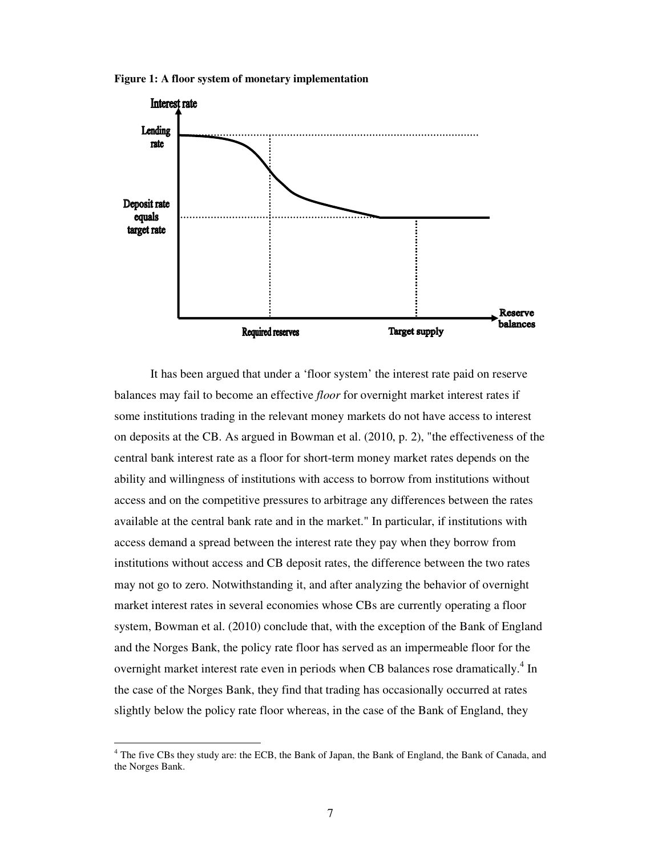**Figure 1: A floor system of monetary implementation**



 It has been argued that under a 'floor system' the interest rate paid on reserve balances may fail to become an effective *floor* for overnight market interest rates if some institutions trading in the relevant money markets do not have access to interest on deposits at the CB. As argued in Bowman et al. (2010, p. 2), "the effectiveness of the central bank interest rate as a floor for short-term money market rates depends on the ability and willingness of institutions with access to borrow from institutions without access and on the competitive pressures to arbitrage any differences between the rates available at the central bank rate and in the market." In particular, if institutions with access demand a spread between the interest rate they pay when they borrow from institutions without access and CB deposit rates, the difference between the two rates may not go to zero. Notwithstanding it, and after analyzing the behavior of overnight market interest rates in several economies whose CBs are currently operating a floor system, Bowman et al. (2010) conclude that, with the exception of the Bank of England and the Norges Bank, the policy rate floor has served as an impermeable floor for the overnight market interest rate even in periods when CB balances rose dramatically.<sup>4</sup> In the case of the Norges Bank, they find that trading has occasionally occurred at rates slightly below the policy rate floor whereas, in the case of the Bank of England, they

 $\overline{a}$ 

<sup>&</sup>lt;sup>4</sup> The five CBs they study are: the ECB, the Bank of Japan, the Bank of England, the Bank of Canada, and the Norges Bank.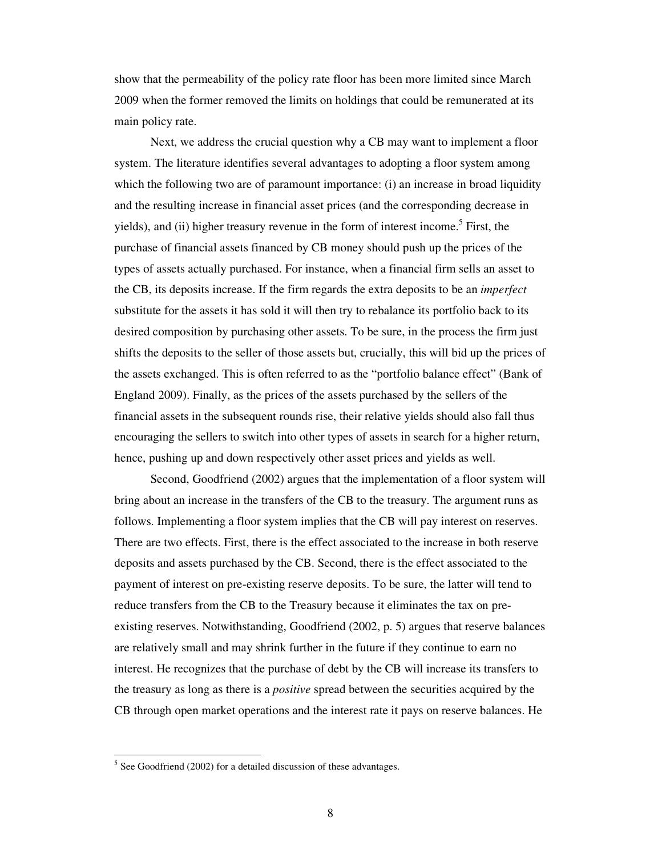show that the permeability of the policy rate floor has been more limited since March 2009 when the former removed the limits on holdings that could be remunerated at its main policy rate.

Next, we address the crucial question why a CB may want to implement a floor system. The literature identifies several advantages to adopting a floor system among which the following two are of paramount importance: (i) an increase in broad liquidity and the resulting increase in financial asset prices (and the corresponding decrease in yields), and (ii) higher treasury revenue in the form of interest income.<sup>5</sup> First, the purchase of financial assets financed by CB money should push up the prices of the types of assets actually purchased. For instance, when a financial firm sells an asset to the CB, its deposits increase. If the firm regards the extra deposits to be an *imperfect* substitute for the assets it has sold it will then try to rebalance its portfolio back to its desired composition by purchasing other assets. To be sure, in the process the firm just shifts the deposits to the seller of those assets but, crucially, this will bid up the prices of the assets exchanged. This is often referred to as the "portfolio balance effect" (Bank of England 2009). Finally, as the prices of the assets purchased by the sellers of the financial assets in the subsequent rounds rise, their relative yields should also fall thus encouraging the sellers to switch into other types of assets in search for a higher return, hence, pushing up and down respectively other asset prices and yields as well.

Second, Goodfriend (2002) argues that the implementation of a floor system will bring about an increase in the transfers of the CB to the treasury. The argument runs as follows. Implementing a floor system implies that the CB will pay interest on reserves. There are two effects. First, there is the effect associated to the increase in both reserve deposits and assets purchased by the CB. Second, there is the effect associated to the payment of interest on pre-existing reserve deposits. To be sure, the latter will tend to reduce transfers from the CB to the Treasury because it eliminates the tax on preexisting reserves. Notwithstanding, Goodfriend (2002, p. 5) argues that reserve balances are relatively small and may shrink further in the future if they continue to earn no interest. He recognizes that the purchase of debt by the CB will increase its transfers to the treasury as long as there is a *positive* spread between the securities acquired by the CB through open market operations and the interest rate it pays on reserve balances. He

 $\ddot{\phantom{a}}$ 

 $<sup>5</sup>$  See Goodfriend (2002) for a detailed discussion of these advantages.</sup>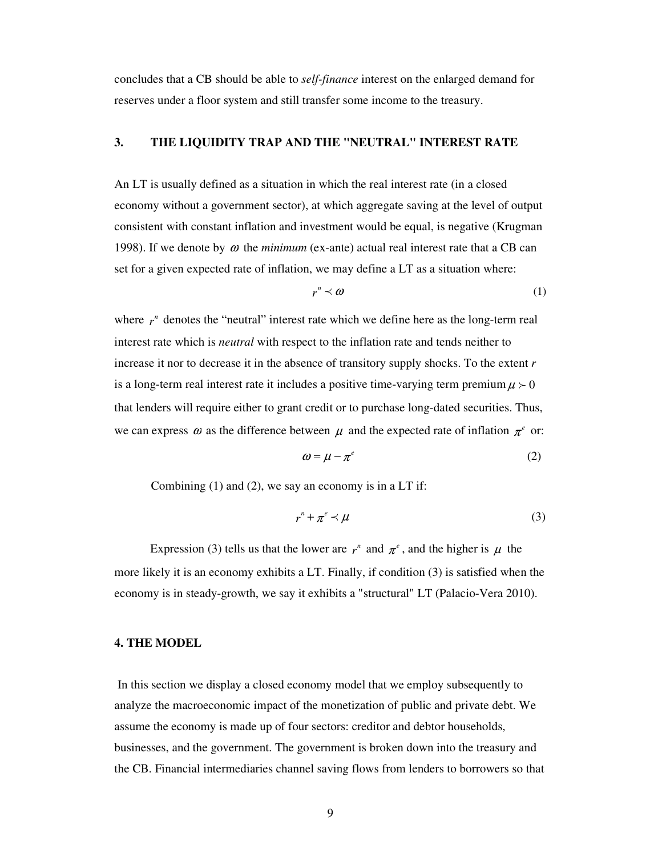concludes that a CB should be able to *self-finance* interest on the enlarged demand for reserves under a floor system and still transfer some income to the treasury.

# **3. THE LIQUIDITY TRAP AND THE "NEUTRAL" INTEREST RATE**

An LT is usually defined as a situation in which the real interest rate (in a closed economy without a government sector), at which aggregate saving at the level of output consistent with constant inflation and investment would be equal, is negative (Krugman 1998). If we denote by  $\omega$  the *minimum* (ex-ante) actual real interest rate that a CB can set for a given expected rate of inflation, we may define a LT as a situation where:

$$
r^n \prec \omega \tag{1}
$$

where  $r^n$  denotes the "neutral" interest rate which we define here as the long-term real interest rate which is *neutral* with respect to the inflation rate and tends neither to increase it nor to decrease it in the absence of transitory supply shocks. To the extent *r* is a long-term real interest rate it includes a positive time-varying term premium  $\mu > 0$ that lenders will require either to grant credit or to purchase long-dated securities. Thus, we can express  $\omega$  as the difference between  $\mu$  and the expected rate of inflation  $\pi^e$  or:

$$
\omega = \mu - \pi^e \tag{2}
$$

Combining (1) and (2), we say an economy is in a LT if:

$$
r^n + \pi^e \prec \mu \tag{3}
$$

Expression (3) tells us that the lower are  $r^n$  and  $\pi^e$ , and the higher is  $\mu$  the more likely it is an economy exhibits a LT. Finally, if condition (3) is satisfied when the economy is in steady-growth, we say it exhibits a "structural" LT (Palacio-Vera 2010).

## **4. THE MODEL**

In this section we display a closed economy model that we employ subsequently to analyze the macroeconomic impact of the monetization of public and private debt. We assume the economy is made up of four sectors: creditor and debtor households, businesses, and the government. The government is broken down into the treasury and the CB. Financial intermediaries channel saving flows from lenders to borrowers so that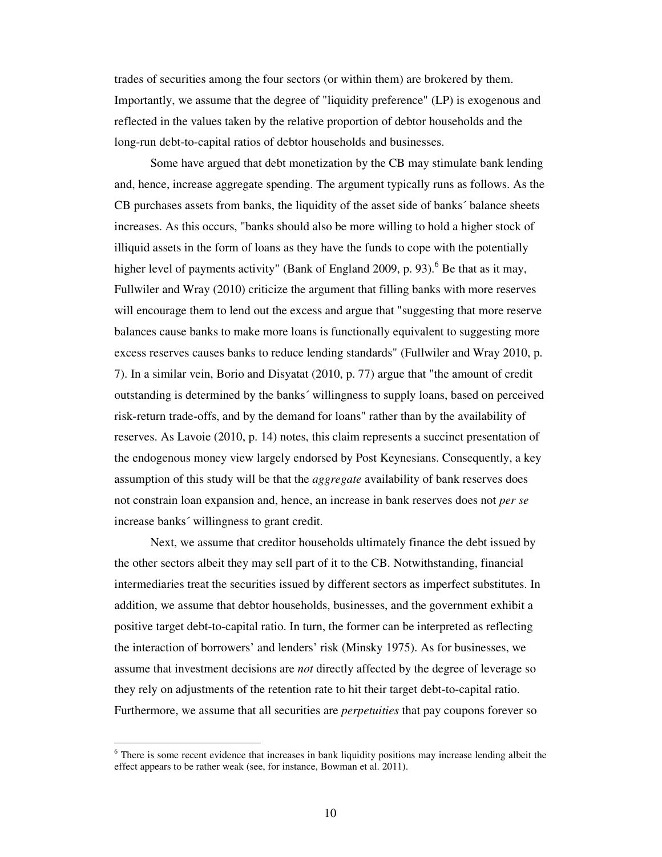trades of securities among the four sectors (or within them) are brokered by them. Importantly, we assume that the degree of "liquidity preference" (LP) is exogenous and reflected in the values taken by the relative proportion of debtor households and the long-run debt-to-capital ratios of debtor households and businesses.

Some have argued that debt monetization by the CB may stimulate bank lending and, hence, increase aggregate spending. The argument typically runs as follows. As the CB purchases assets from banks, the liquidity of the asset side of banks´ balance sheets increases. As this occurs, "banks should also be more willing to hold a higher stock of illiquid assets in the form of loans as they have the funds to cope with the potentially higher level of payments activity" (Bank of England 2009, p. 93). <sup>6</sup> Be that as it may, Fullwiler and Wray (2010) criticize the argument that filling banks with more reserves will encourage them to lend out the excess and argue that "suggesting that more reserve balances cause banks to make more loans is functionally equivalent to suggesting more excess reserves causes banks to reduce lending standards" (Fullwiler and Wray 2010, p. 7). In a similar vein, Borio and Disyatat (2010, p. 77) argue that "the amount of credit outstanding is determined by the banks´ willingness to supply loans, based on perceived risk-return trade-offs, and by the demand for loans" rather than by the availability of reserves. As Lavoie (2010, p. 14) notes, this claim represents a succinct presentation of the endogenous money view largely endorsed by Post Keynesians. Consequently, a key assumption of this study will be that the *aggregate* availability of bank reserves does not constrain loan expansion and, hence, an increase in bank reserves does not *per se* increase banks´ willingness to grant credit.

Next, we assume that creditor households ultimately finance the debt issued by the other sectors albeit they may sell part of it to the CB. Notwithstanding, financial intermediaries treat the securities issued by different sectors as imperfect substitutes. In addition, we assume that debtor households, businesses, and the government exhibit a positive target debt-to-capital ratio. In turn, the former can be interpreted as reflecting the interaction of borrowers' and lenders' risk (Minsky 1975). As for businesses, we assume that investment decisions are *not* directly affected by the degree of leverage so they rely on adjustments of the retention rate to hit their target debt-to-capital ratio. Furthermore, we assume that all securities are *perpetuities* that pay coupons forever so

 $\overline{a}$ 

<sup>&</sup>lt;sup>6</sup> There is some recent evidence that increases in bank liquidity positions may increase lending albeit the effect appears to be rather weak (see, for instance, Bowman et al. 2011).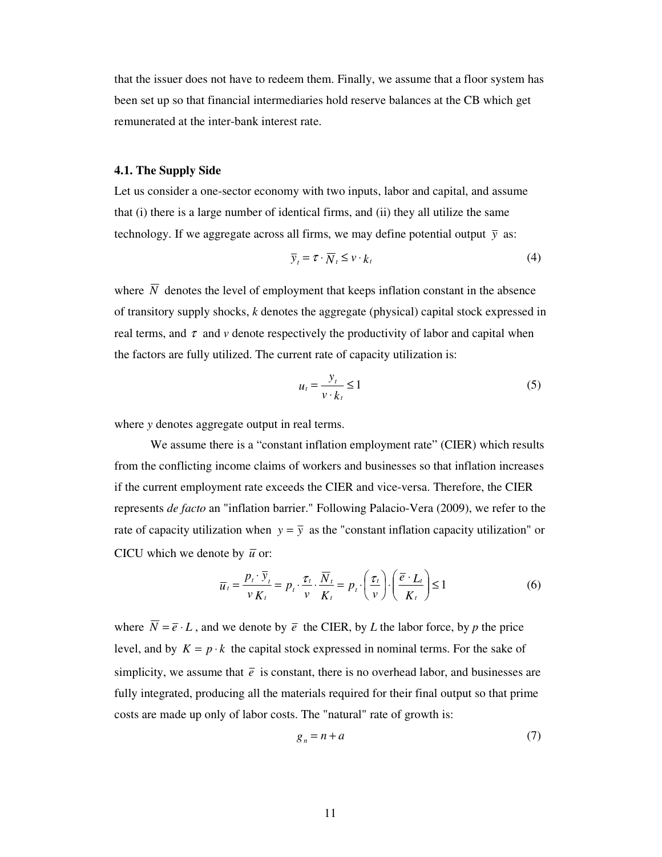that the issuer does not have to redeem them. Finally, we assume that a floor system has been set up so that financial intermediaries hold reserve balances at the CB which get remunerated at the inter-bank interest rate.

#### **4.1. The Supply Side**

Let us consider a one-sector economy with two inputs, labor and capital, and assume that (i) there is a large number of identical firms, and (ii) they all utilize the same technology. If we aggregate across all firms, we may define potential output  $\bar{y}$  as:

$$
\overline{y}_t = \tau \cdot \overline{N}_t \leq v \cdot k_t \tag{4}
$$

where  $\overline{N}$  denotes the level of employment that keeps inflation constant in the absence of transitory supply shocks, *k* denotes the aggregate (physical) capital stock expressed in real terms, and  $\tau$  and  $\nu$  denote respectively the productivity of labor and capital when the factors are fully utilized. The current rate of capacity utilization is:

$$
u_t = \frac{y_t}{v \cdot k_t} \le 1\tag{5}
$$

where *y* denotes aggregate output in real terms.

We assume there is a "constant inflation employment rate" (CIER) which results from the conflicting income claims of workers and businesses so that inflation increases if the current employment rate exceeds the CIER and vice-versa. Therefore, the CIER represents *de facto* an "inflation barrier." Following Palacio-Vera (2009), we refer to the rate of capacity utilization when  $y = \overline{y}$  as the "constant inflation capacity utilization" or CICU which we denote by  $\bar{u}$  or:

$$
\overline{u}_t = \frac{p_t \cdot \overline{y}_t}{v K_t} = p_t \cdot \frac{\tau_t}{v} \cdot \frac{\overline{N}_t}{K_t} = p_t \cdot \left(\frac{\tau_t}{v}\right) \cdot \left(\frac{\overline{e} \cdot L_t}{K_t}\right) \le 1
$$
\n<sup>(6)</sup>

where  $\overline{N} = \overline{e} \cdot L$ , and we denote by  $\overline{e}$  the CIER, by *L* the labor force, by *p* the price level, and by  $K = p \cdot k$  the capital stock expressed in nominal terms. For the sake of simplicity, we assume that  $\bar{e}$  is constant, there is no overhead labor, and businesses are fully integrated, producing all the materials required for their final output so that prime costs are made up only of labor costs. The "natural" rate of growth is:

$$
g_n = n + a \tag{7}
$$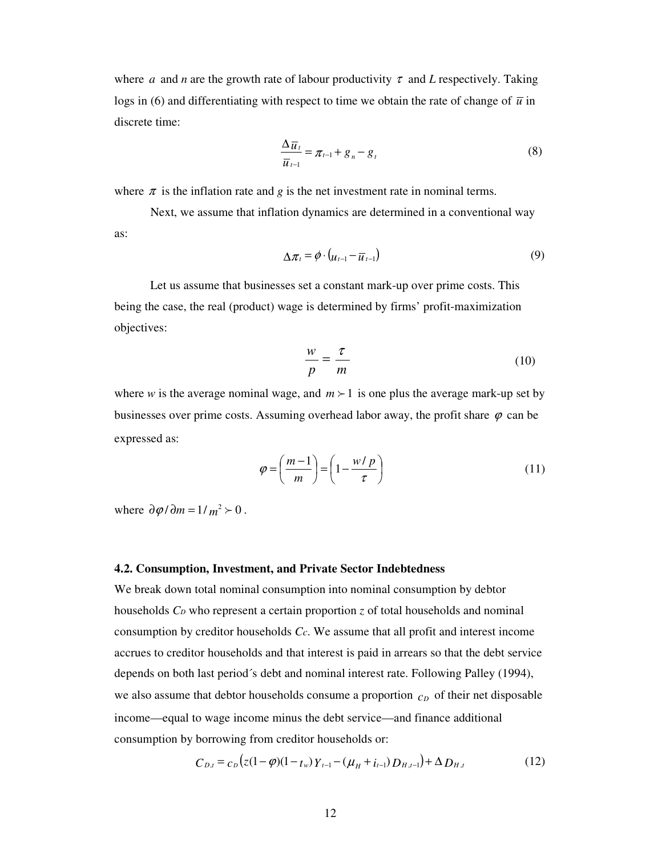where *a* and *n* are the growth rate of labour productivity  $\tau$  and *L* respectively. Taking logs in (6) and differentiating with respect to time we obtain the rate of change of  $\bar{u}$  in discrete time:

$$
\frac{\Delta \overline{u}_t}{\overline{u}_{t-1}} = \pi_{t-1} + g_n - g_t \tag{8}
$$

where  $\pi$  is the inflation rate and *g* is the net investment rate in nominal terms.

Next, we assume that inflation dynamics are determined in a conventional way as:

$$
\Delta \pi_t = \phi \cdot (u_{t-1} - \overline{u}_{t-1}) \tag{9}
$$

Let us assume that businesses set a constant mark-up over prime costs. This being the case, the real (product) wage is determined by firms' profit-maximization objectives:

$$
\frac{w}{p} = \frac{\tau}{m} \tag{10}
$$

where *w* is the average nominal wage, and  $m \ge 1$  is one plus the average mark-up set by businesses over prime costs. Assuming overhead labor away, the profit share  $\varphi$  can be expressed as:

$$
\varphi = \left(\frac{m-1}{m}\right) = \left(1 - \frac{w/p}{\tau}\right) \tag{11}
$$

where  $\partial \varphi / \partial m = 1 / m^2 > 0$ .

#### **4.2. Consumption, Investment, and Private Sector Indebtedness**

We break down total nominal consumption into nominal consumption by debtor households *CD* who represent a certain proportion *z* of total households and nominal consumption by creditor households *Cc*. We assume that all profit and interest income accrues to creditor households and that interest is paid in arrears so that the debt service depends on both last period´s debt and nominal interest rate. Following Palley (1994), we also assume that debtor households consume a proportion  $c<sub>D</sub>$  of their net disposable income—equal to wage income minus the debt service—and finance additional consumption by borrowing from creditor households or:

$$
C_{D,t} = c_D \left( z(1 - \varphi)(1 - t_w) Y_{t-1} - (\mu_H + i_{t-1}) D_{H,t-1} \right) + \Delta D_{H,t}
$$
(12)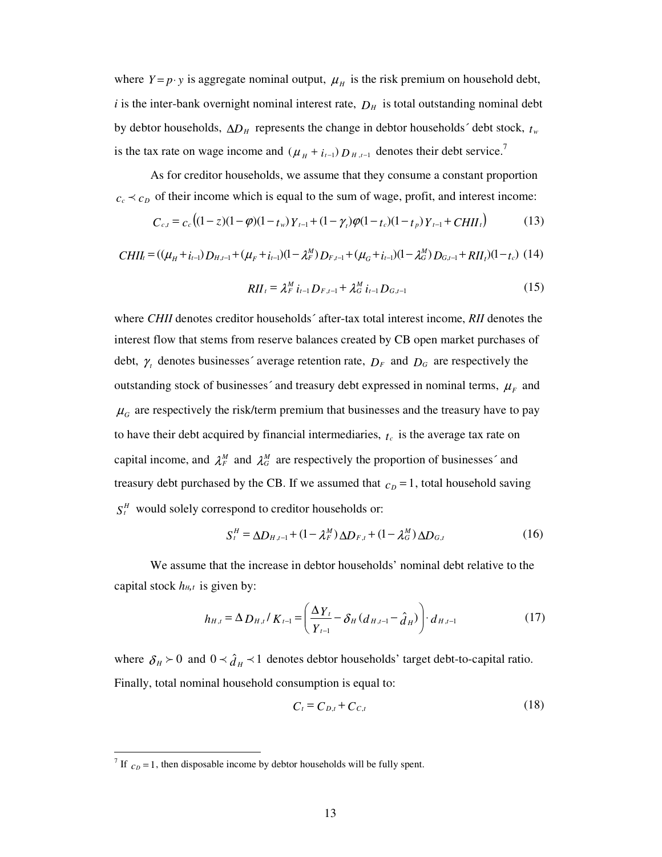where  $Y = p \cdot y$  is aggregate nominal output,  $\mu<sub>H</sub>$  is the risk premium on household debt,  $i$  is the inter-bank overnight nominal interest rate,  $D_H$  is total outstanding nominal debt by debtor households, ∆*DH* represents the change in debtor households´ debt stock, *t<sup>w</sup>* is the tax rate on wage income and  $(\mu_H + i_{t-1}) D_{H,t-1}$  denotes their debt service.<sup>7</sup>

As for creditor households, we assume that they consume a constant proportion  $c_c \prec c_D$  of their income which is equal to the sum of wage, profit, and interest income:

$$
C_{c,t} = c_c \left( (1-z)(1-\varphi)(1-t_w) Y_{t-1} + (1-\gamma_t)\varphi(1-t_c)(1-t_p) Y_{t-1} + CHII_t \right) \tag{13}
$$

$$
CHII_{t} = ((\mu_{H} + i_{t-1}) D_{H,t-1} + (\mu_{F} + i_{t-1})(1 - \lambda_{F}^{M}) D_{F,t-1} + (\mu_{G} + i_{t-1})(1 - \lambda_{G}^{M}) D_{G,t-1} + RII_{t})(1 - t_{c}) (14)
$$

$$
RII_t = \lambda_t^M i_{t-1} D_{F,t-1} + \lambda_G^M i_{t-1} D_{G,t-1}
$$
 (15)

where *CHII* denotes creditor households´ after-tax total interest income, *RII* denotes the interest flow that stems from reserve balances created by CB open market purchases of debt,  $\gamma$  denotes businesses' average retention rate,  $D_F$  and  $D_G$  are respectively the outstanding stock of businesses<sup> $\zeta$ </sup> and treasury debt expressed in nominal terms,  $\mu_F$  and  $\mu$ <sub>G</sub> are respectively the risk/term premium that businesses and the treasury have to pay to have their debt acquired by financial intermediaries,  $t_c$  is the average tax rate on capital income, and  $\lambda_F^M$  and  $\lambda_G^M$  are respectively the proportion of businesses' and treasury debt purchased by the CB. If we assumed that  $c<sub>D</sub> = 1$ , total household saving  $S_t^H$  would solely correspond to creditor households or:

$$
S_t^H = \Delta D_{H,t-1} + (1 - \lambda_F^M) \Delta D_{F,t} + (1 - \lambda_G^M) \Delta D_{G,t}
$$
(16)

We assume that the increase in debtor households' nominal debt relative to the capital stock  $h_{H,t}$  is given by:

$$
h_{H,t} = \Delta D_{H,t} / K_{t-1} = \left(\frac{\Delta Y_t}{Y_{t-1}} - \delta_H (d_{H,t-1} - \hat{d}_H)\right) \cdot d_{H,t-1}
$$
(17)

where  $\delta_H > 0$  and  $0 \prec \hat{d}_H \prec 1$  denotes debtor households' target debt-to-capital ratio. Finally, total nominal household consumption is equal to:

$$
C_t = C_{D,t} + C_{C,t} \tag{18}
$$

<sup>&</sup>lt;sup>7</sup> If  $c_D = 1$ , then disposable income by debtor households will be fully spent.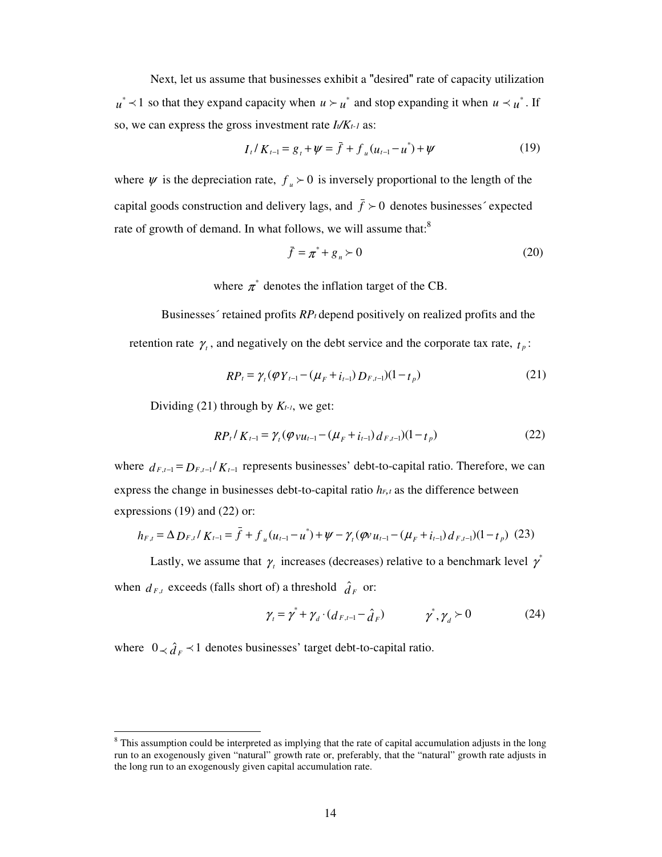Next, let us assume that businesses exhibit a "desired" rate of capacity utilization  $u^*$   $\prec$  1 so that they expand capacity when  $u \succ u^*$  and stop expanding it when  $u \prec u^*$ . If so, we can express the gross investment rate *It/Kt-1* as:

$$
I_t / K_{t-1} = g_t + \psi = \bar{f} + f_u (u_{t-1} - u^*) + \psi \tag{19}
$$

where  $\psi$  is the depreciation rate,  $f_{\mu} \succ 0$  is inversely proportional to the length of the capital goods construction and delivery lags, and  $\bar{f} \succ 0$  denotes businesses' expected rate of growth of demand. In what follows, we will assume that:<sup>8</sup>

$$
\bar{f} = \pi^* + g_n \succ 0 \tag{20}
$$

where  $\pi^*$  denotes the inflation target of the CB.

 Businesses´ retained profits *RP<sup>t</sup>* depend positively on realized profits and the retention rate  $\gamma_t$ , and negatively on the debt service and the corporate tax rate,  $t_p$ :

$$
RP_t = \gamma_t (\varphi Y_{t-1} - (\mu_F + i_{t-1}) D_{F,t-1})(1 - t_p)
$$
\n(21)

Dividing (21) through by  $K_{t-1}$ , we get:

$$
RP_t / K_{t-1} = \gamma_t (\varphi_{VU_{t-1}} - (\mu_F + i_{t-1}) d_{F,t-1})(1 - t_p)
$$
 (22)

where  $d_{F,t-1} = D_{F,t-1}/K_{t-1}$  represents businesses' debt-to-capital ratio. Therefore, we can express the change in businesses debt-to-capital ratio  $h_{F,t}$  as the difference between expressions (19) and (22) or:

$$
h_{F,t} = \Delta D_{F,t} / K_{t-1} = \bar{f} + f_u (u_{t-1} - u^*) + \psi - \gamma_t (\varphi u_{t-1} - (\mu_F + i_{t-1}) d_{F,t-1}) (1 - t_p) (23)
$$

Lastly, we assume that  $\gamma_t$  increases (decreases) relative to a benchmark level  $\gamma^*$ when  $d_{F,t}$  exceeds (falls short of) a threshold  $\hat{d}_F$  or:

$$
\gamma_{t} = \gamma^* + \gamma_{d} \cdot (d_{F,t-1} - \hat{d}_{F}) \qquad \gamma^*, \gamma_{d} \succ 0 \qquad (24)
$$

where  $0 \lt \hat{d}_F \lt 1$  denotes businesses' target debt-to-capital ratio.

 $\overline{a}$ 

<sup>&</sup>lt;sup>8</sup> This assumption could be interpreted as implying that the rate of capital accumulation adjusts in the long run to an exogenously given "natural" growth rate or, preferably, that the "natural" growth rate adjusts in the long run to an exogenously given capital accumulation rate.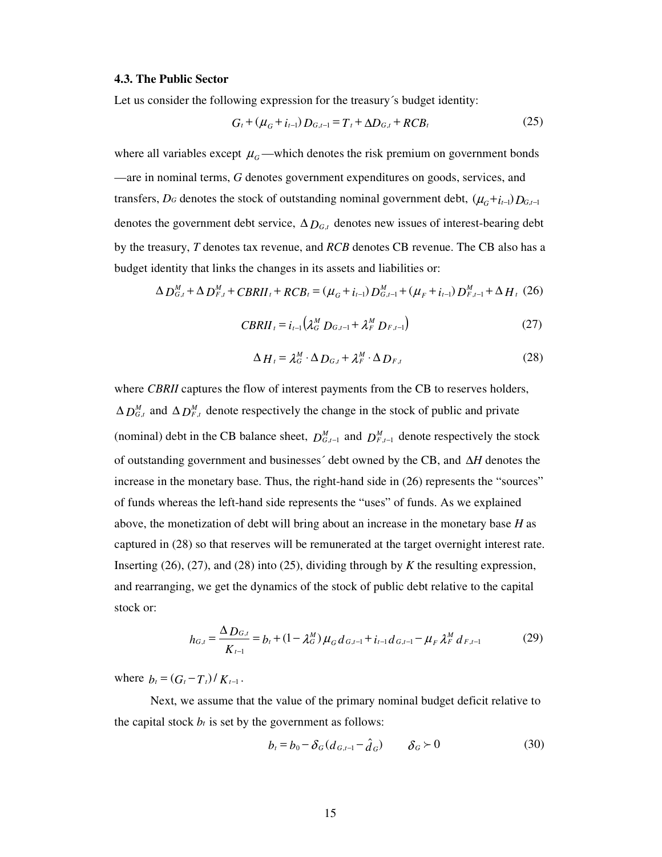#### **4.3. The Public Sector**

Let us consider the following expression for the treasury´s budget identity:

$$
G_t + (\mu_G + i_{t-1}) D_{G,t-1} = T_t + \Delta D_{G,t} + RCB_t
$$
 (25)

where all variables except  $\mu_{G}$ —which denotes the risk premium on government bonds —are in nominal terms, *G* denotes government expenditures on goods, services, and transfers, *D<sub>G</sub>* denotes the stock of outstanding nominal government debt,  $(\mu_G + i_{t-1}) D_{G,t-1}$ denotes the government debt service,  $\Delta D_{G,t}$  denotes new issues of interest-bearing debt by the treasury, *T* denotes tax revenue, and *RCB* denotes CB revenue. The CB also has a budget identity that links the changes in its assets and liabilities or:

$$
\Delta D_{G,t}^M + \Delta D_{F,t}^M + CBRII_t + RCB_t = (\mu_G + i_{t-1}) D_{G,t-1}^M + (\mu_F + i_{t-1}) D_{F,t-1}^M + \Delta H_t (26)
$$

$$
CBRII_{t} = i_{t-1} \left( \lambda_{G}^{M} D_{G,t-1} + \lambda_{F}^{M} D_{F,t-1} \right)
$$
 (27)

$$
\Delta H_t = \lambda_G^M \cdot \Delta D_{G,t} + \lambda_F^M \cdot \Delta D_{F,t}
$$
 (28)

where *CBRII* captures the flow of interest payments from the CB to reserves holders,  $\Delta D_{G,t}^M$  and  $\Delta D_{F,t}^M$  denote respectively the change in the stock of public and private (nominal) debt in the CB balance sheet,  $D_{G,t-1}^M$  and  $D_{F,t-1}^M$  denote respectively the stock of outstanding government and businesses´ debt owned by the CB, and ∆*H* denotes the increase in the monetary base. Thus, the right-hand side in (26) represents the "sources" of funds whereas the left-hand side represents the "uses" of funds. As we explained above, the monetization of debt will bring about an increase in the monetary base *H* as captured in (28) so that reserves will be remunerated at the target overnight interest rate. Inserting (26), (27), and (28) into (25), dividing through by *K* the resulting expression, and rearranging, we get the dynamics of the stock of public debt relative to the capital stock or:

$$
h_{G,t} = \frac{\Delta D_{G,t}}{K_{t-1}} = b_t + (1 - \lambda_G^M) \mu_G d_{G,t-1} + i_{t-1} d_{G,t-1} - \mu_F \lambda_F^M d_{F,t-1}
$$
(29)

where  $b_t = (G_t - T_t)/K_{t-1}$ .

 Next, we assume that the value of the primary nominal budget deficit relative to the capital stock  $b_t$  is set by the government as follows:

$$
b_t = b_0 - \delta_G (d_{G,t-1} - \hat{d}_G) \qquad \delta_G \succ 0 \tag{30}
$$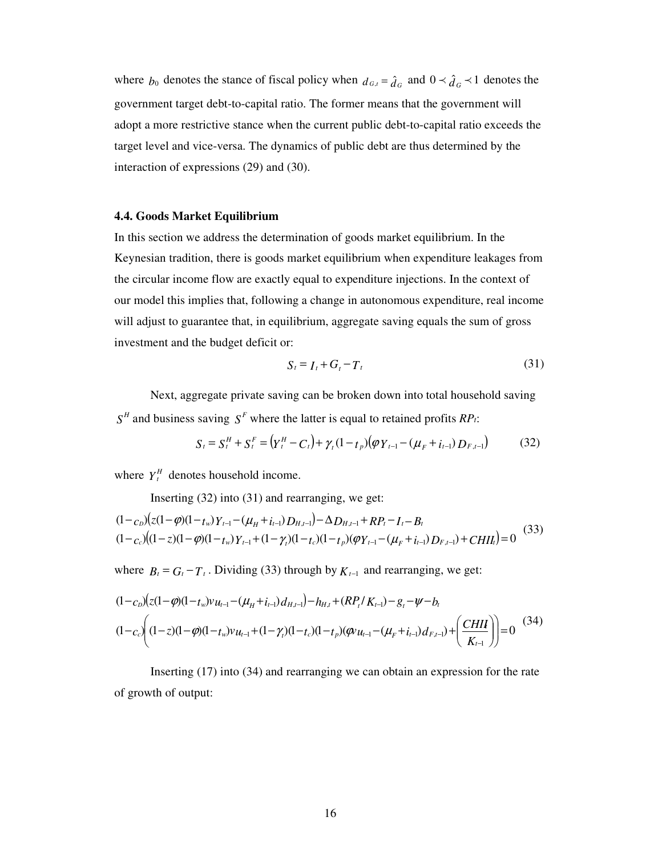where  $b_0$  denotes the stance of fiscal policy when  $d_{G,t} = \hat{d}_G$  and  $0 \prec \hat{d}_G \prec 1$  denotes the government target debt-to-capital ratio. The former means that the government will adopt a more restrictive stance when the current public debt-to-capital ratio exceeds the target level and vice-versa. The dynamics of public debt are thus determined by the interaction of expressions (29) and (30).

## **4.4. Goods Market Equilibrium**

In this section we address the determination of goods market equilibrium. In the Keynesian tradition, there is goods market equilibrium when expenditure leakages from the circular income flow are exactly equal to expenditure injections. In the context of our model this implies that, following a change in autonomous expenditure, real income will adjust to guarantee that, in equilibrium, aggregate saving equals the sum of gross investment and the budget deficit or:

$$
S_t = I_t + G_t - T_t \tag{31}
$$

 Next, aggregate private saving can be broken down into total household saving *S H* and business saving *S <sup>F</sup>* where the latter is equal to retained profits *RPt*:

$$
S_t = S_t^H + S_t^F = (Y_t^H - C_t) + \gamma_t (1 - t_p)(\varphi Y_{t-1} - (\mu_F + i_{t-1}) D_{F,t-1})
$$
(32)

where  $Y_t^H$  denotes household income.

Inserting (32) into (31) and rearranging, we get:

$$
(1 - cD)(z(1 - \varphi)(1 - tw)Yt-1 - (\muH + it-1)DH,t-1) - \Delta DH,t-1 + RPt - It - Bt(1 - cc)(1 - z)(1 - \varphi)(1 - tw)Yt-1 + (1 - \gammat)(1 - tc)(1 - tp)(\varphi Yt-1 - (\muF + it-1)DF,t-1) + CHIIt) = 0
$$
(33)

where  $B_t = G_t - T_t$ . Dividing (33) through by  $K_{t-1}$  and rearranging, we get:

$$
(1 - c_D)(z(1 - \varphi)(1 - t_w)v_{u_{t-1}} - (\mu_H + i_{t-1})d_{H,t-1}) - h_{H,t} + (RP_t/K_{t-1}) - g_t - \psi - b_t
$$
  

$$
(1 - c_c)(1 - \varphi)(1 - t_w)v_{u_{t-1}} + (1 - \gamma_t)(1 - t_c)(1 - t_p)(\varphi u_{t-1} - (\mu_F + i_{t-1})d_{F,t-1}) + \left(\frac{CHII}{K_{t-1}}\right) = 0
$$
 (34)

 Inserting (17) into (34) and rearranging we can obtain an expression for the rate of growth of output: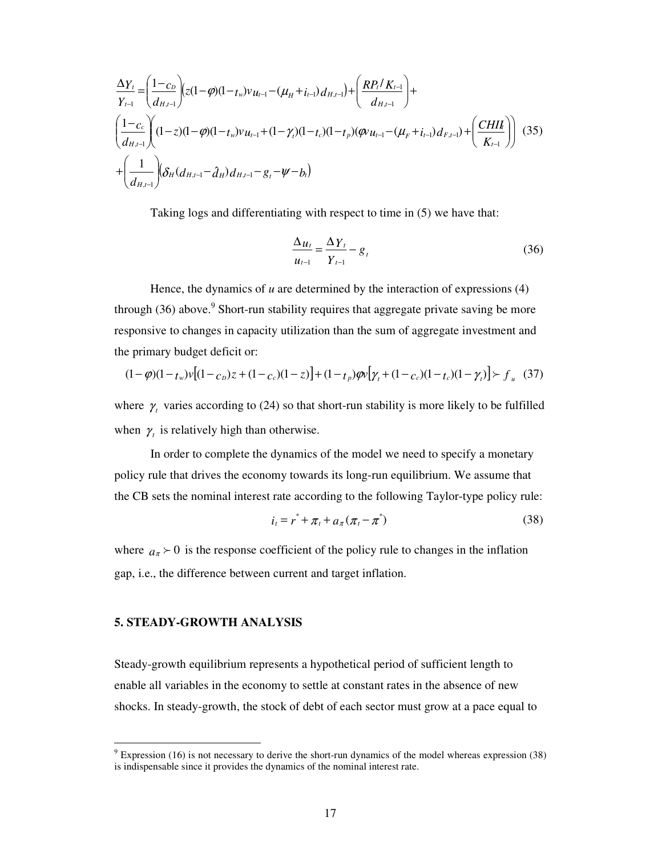$$
\frac{\Delta Y_t}{Y_{t-1}} = \left(\frac{1-c_D}{d_{H,t-1}}\right) \left(z(1-\varphi)(1-t_w)v_{u_{t-1}} - (\mu_H + i_{t-1})d_{H,t-1}\right) + \left(\frac{RP_t/K_{t-1}}{d_{H,t-1}}\right) + \left(\frac{1-c_c}{d_{H,t-1}}\right) \left(1-z(1-\varphi)(1-t_w)v_{u_{t-1}} + (1-\gamma_t)(1-t_c)(1-t_p)(\varphi u_{t-1} - (\mu_F + i_{t-1})d_{F,t-1}) + \left(\frac{CHII}{K_{t-1}}\right) \left(\frac{35}{d_{H,t-1}}\right) \left(\frac{1}{d_{H,t-1}}\right) \left(\frac{35}{d_{H,t-1}}\right) \left(\frac{1}{d_{H,t-1}}\right) \left(\frac{35}{d_{H,t-1}}\right) \left(\frac{1}{d_{H,t-1}}\right) \left(\frac{1}{d_{H,t-1}}\right) \left(\frac{35}{d_{H,t-1}}\right) \left(\frac{1}{d_{H,t-1}}\right) \left(\frac{35}{d_{H,t-1}}\right) \left(\frac{1}{d_{H,t-1}}\right) \left(\frac{35}{d_{H,t-1}}\right) \left(\frac{1}{d_{H,t-1}}\right) \left(\frac{35}{d_{H,t-1}}\right) \left(\frac{35}{d_{H,t-1}}\right) \left(\frac{35}{d_{H,t-1}}\right) \left(\frac{35}{d_{H,t-1}}\right) \left(\frac{35}{d_{H,t-1}}\right) \left(\frac{35}{d_{H,t-1}}\right) \left(\frac{35}{d_{H,t-1}}\right) \left(\frac{35}{d_{H,t-1}}\right) \left(\frac{35}{d_{H,t-1}}\right) \left(\frac{35}{d_{H,t-1}}\right) \left(\frac{35}{d_{H,t-1}}\right) \left(\frac{35}{d_{H,t-1}}\right) \left(\frac{35}{d_{H,t-1}}\right) \left(\frac{35}{d_{H,t-1}}\right) \left(\frac{35}{d_{H,t-1}}\right) \left(\frac{35}{d_{H,t-1}}\right) \left(\frac{35}{d_{H,t-1}}\right) \left(\frac{35}{d_{H,t-1}}\right) \left(\frac{35}{d
$$

Taking logs and differentiating with respect to time in (5) we have that:

$$
\frac{\Delta u_t}{u_{t-1}} = \frac{\Delta Y_t}{Y_{t-1}} - g_t
$$
\n(36)

Hence, the dynamics of *u* are determined by the interaction of expressions (4) through  $(36)$  above.<sup>9</sup> Short-run stability requires that aggregate private saving be more responsive to changes in capacity utilization than the sum of aggregate investment and the primary budget deficit or:

$$
(1 - \varphi)(1 - t_w)v[(1 - c_D)z + (1 - c_c)(1 - z)] + (1 - t_p)\varphi v[\gamma_t + (1 - c_c)(1 - t_c)(1 - \gamma_t)] \succ f_u
$$
 (37)

where  $\gamma$  varies according to (24) so that short-run stability is more likely to be fulfilled when  $\gamma$  is relatively high than otherwise.

In order to complete the dynamics of the model we need to specify a monetary policy rule that drives the economy towards its long-run equilibrium. We assume that the CB sets the nominal interest rate according to the following Taylor-type policy rule:

$$
i_t = r^* + \pi_t + a_\pi (\pi_t - \pi^*)
$$
 (38)

where  $a_{\pi}$   $\geq$  0 is the response coefficient of the policy rule to changes in the inflation gap, i.e., the difference between current and target inflation.

#### **5. STEADY-GROWTH ANALYSIS**

Steady-growth equilibrium represents a hypothetical period of sufficient length to enable all variables in the economy to settle at constant rates in the absence of new shocks. In steady-growth, the stock of debt of each sector must grow at a pace equal to

<sup>&</sup>lt;sup>9</sup> Expression (16) is not necessary to derive the short-run dynamics of the model whereas expression (38) is indispensable since it provides the dynamics of the nominal interest rate.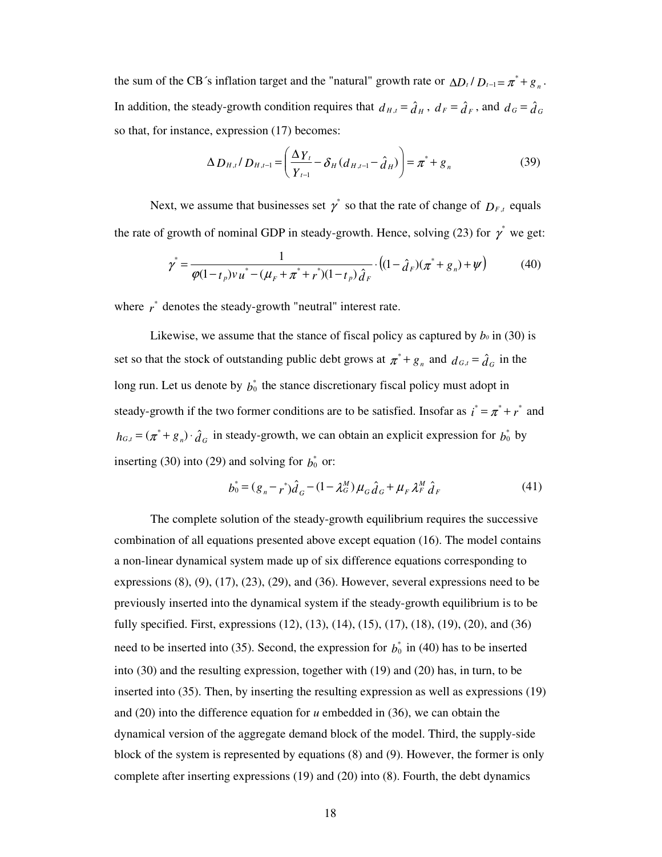the sum of the CB´s inflation target and the "natural" growth rate or  $\Delta D_t / D_{t-1} = \pi^* + g_n$ . In addition, the steady-growth condition requires that  $d_{H,t} = \hat{d}_H$ ,  $d_F = \hat{d}_F$ , and  $d_G = \hat{d}_G$ so that, for instance, expression (17) becomes:

$$
\Delta D_{H,t}/D_{H,t-1} = \left(\frac{\Delta Y_t}{Y_{t-1}} - \delta_H (d_{H,t-1} - \hat{d}_H)\right) = \pi^* + g_n
$$
\n(39)

Next, we assume that businesses set  $\gamma^*$  so that the rate of change of  $D_{F,t}$  equals the rate of growth of nominal GDP in steady-growth. Hence, solving (23) for  $\gamma^*$  we get:

$$
\gamma^* = \frac{1}{\varphi(1 - t_p)v_u^* - (\mu_F + \pi^* + r^*)(1 - t_p)\hat{d}_F} \cdot ((1 - \hat{d}_F)(\pi^* + g_n) + \psi)
$$
(40)

where  $r^*$  denotes the steady-growth "neutral" interest rate.

Likewise, we assume that the stance of fiscal policy as captured by  $b_0$  in (30) is set so that the stock of outstanding public debt grows at  $\pi^* + g_n$  and  $d_{G,t} = \hat{d}_G$  in the long run. Let us denote by  $b_0^*$  the stance discretionary fiscal policy must adopt in steady-growth if the two former conditions are to be satisfied. Insofar as  $i^* = \pi^* + r^*$  and  $h_{G,t} = (\pi^* + g_n) \cdot \hat{d}_G$  in steady-growth, we can obtain an explicit expression for  $b_0^*$  by inserting (30) into (29) and solving for  $b_0^*$  or:

$$
b_0^* = (g_n - r^*)\hat{d}_G - (1 - \lambda_G^M)\mu_G \hat{d}_G + \mu_F \lambda_F^M \hat{d}_F
$$
(41)

 The complete solution of the steady-growth equilibrium requires the successive combination of all equations presented above except equation (16). The model contains a non-linear dynamical system made up of six difference equations corresponding to expressions  $(8)$ ,  $(9)$ ,  $(17)$ ,  $(23)$ ,  $(29)$ , and  $(36)$ . However, several expressions need to be previously inserted into the dynamical system if the steady-growth equilibrium is to be fully specified. First, expressions (12), (13), (14), (15), (17), (18), (19), (20), and (36) need to be inserted into (35). Second, the expression for  $b_0^*$  in (40) has to be inserted into (30) and the resulting expression, together with (19) and (20) has, in turn, to be inserted into (35). Then, by inserting the resulting expression as well as expressions (19) and (20) into the difference equation for *u* embedded in (36), we can obtain the dynamical version of the aggregate demand block of the model. Third, the supply-side block of the system is represented by equations (8) and (9). However, the former is only complete after inserting expressions (19) and (20) into (8). Fourth, the debt dynamics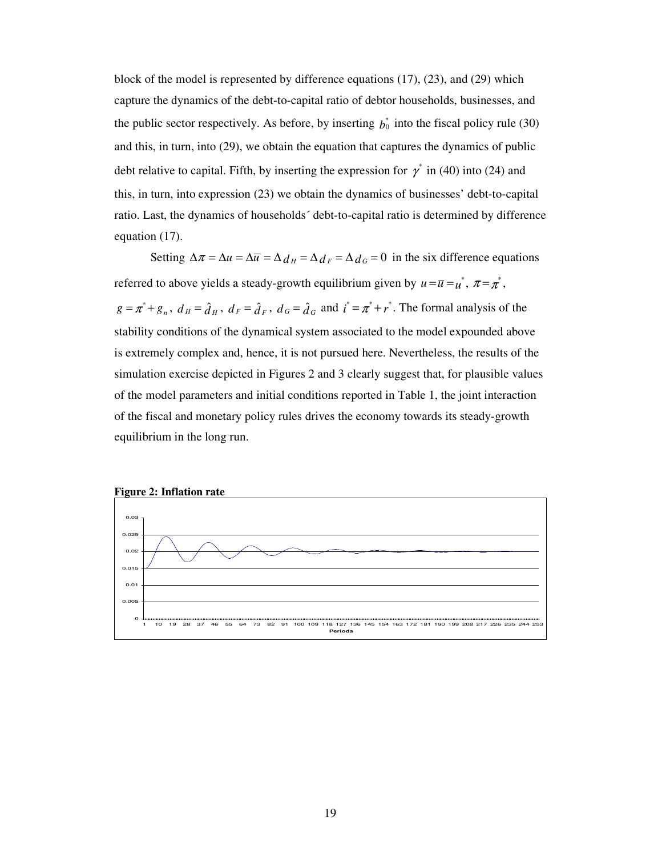block of the model is represented by difference equations (17), (23), and (29) which capture the dynamics of the debt-to-capital ratio of debtor households, businesses, and the public sector respectively. As before, by inserting  $b_0^*$  into the fiscal policy rule (30) and this, in turn, into (29), we obtain the equation that captures the dynamics of public debt relative to capital. Fifth, by inserting the expression for  $\gamma^*$  in (40) into (24) and this, in turn, into expression (23) we obtain the dynamics of businesses' debt-to-capital ratio. Last, the dynamics of households´ debt-to-capital ratio is determined by difference equation (17).

Setting  $\Delta \pi = \Delta u = \Delta \bar{u} = \Delta d_H = \Delta d_F = \Delta d_G = 0$  in the six difference equations referred to above yields a steady-growth equilibrium given by  $u = \overline{u} = u^*$ ,  $\pi = \pi^*$ ,  $g = \pi^* + g_n$ ,  $d_H = \hat{d}_H$ ,  $d_F = \hat{d}_F$ ,  $d_G = \hat{d}_G$  and  $i^* = \pi^* + r^*$ . The formal analysis of the stability conditions of the dynamical system associated to the model expounded above is extremely complex and, hence, it is not pursued here. Nevertheless, the results of the simulation exercise depicted in Figures 2 and 3 clearly suggest that, for plausible values of the model parameters and initial conditions reported in Table 1, the joint interaction of the fiscal and monetary policy rules drives the economy towards its steady-growth equilibrium in the long run.



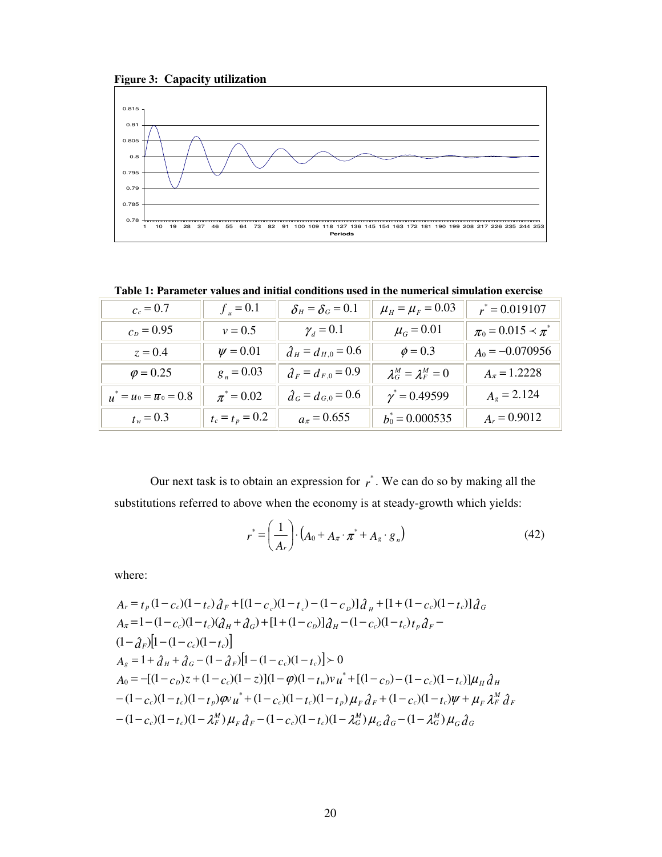



**Table 1: Parameter values and initial conditions used in the numerical simulation exercise** 

| $c_c = 0.7$                        | $f_u = 0.1$       | $\delta_H = \delta_G = 0.1$ | $\mu_{H} = \mu_{F} = 0.03$      | $r^* = 0.019107$            |
|------------------------------------|-------------------|-----------------------------|---------------------------------|-----------------------------|
| $c_p = 0.95$                       | $v = 0.5$         | $\gamma_d = 0.1$            | $\mu_{G} = 0.01$                | $\pi_0 = 0.015 \prec \pi^*$ |
| $z = 0.4$                          | $\psi = 0.01$     | $\hat{d}_H = d_{H,0} = 0.6$ | $\phi = 0.3$                    | $A_0 = -0.070956$           |
| $\varphi = 0.25$                   | $g_n = 0.03$      | $\hat{d}_F = d_{F,0} = 0.9$ | $\lambda_G^M = \lambda_F^M = 0$ | $A_{\pi} = 1.2228$          |
| $u^* = u_0 = \overline{u}_0 = 0.8$ | $\pi^* = 0.02$    | $\hat{d}_G = d_{G,0} = 0.6$ | $\gamma^* = 0.49599$            | $A_g = 2.124$               |
| $t_w = 0.3$                        | $t_c = t_p = 0.2$ | $a_{\pi} = 0.655$           | $b_0^* = 0.000535$              | $A_r = 0.9012$              |

Our next task is to obtain an expression for  $r^*$ . We can do so by making all the substitutions referred to above when the economy is at steady-growth which yields:

$$
r^* = \left(\frac{1}{A_r}\right) \cdot \left(A_0 + A_\pi \cdot \pi^* + A_g \cdot g_n\right) \tag{42}
$$

where:

$$
A_r = t_p (1 - c_c)(1 - t_c) \partial_F + [(1 - c_c)(1 - t_c) - (1 - c_p)] \partial_H + [1 + (1 - c_c)(1 - t_c)] \partial_G
$$
  
\n
$$
A_{\pi} = 1 - (1 - c_c)(1 - t_c) (\partial_H + \partial_G) + [1 + (1 - c_p)] \partial_H - (1 - c_c)(1 - t_c) t_p \partial_F - (1 - \partial_F) [1 - (1 - c_c)(1 - t_c)]
$$
  
\n
$$
A_s = 1 + \partial_H + \partial_G - (1 - \partial_F) [1 - (1 - c_c)(1 - t_c)] > 0
$$
  
\n
$$
A_0 = -[(1 - c_p)z + (1 - c_c)(1 - z)](1 - \varphi)(1 - t_w)v u^* + [(1 - c_p) - (1 - c_c)(1 - t_c)]\mu_H \partial_H - (1 - c_c)(1 - t_c)(1 - t_p)\varphi u^* + (1 - c_c)(1 - t_c)(1 - t_p)\mu_F \partial_F + (1 - c_c)(1 - t_c)\psi + \mu_F \partial_H \partial_H - (1 - c_c)(1 - t_c)(1 - \lambda_F^M) \mu_F \partial_F - (1 - c_c)(1 - t_c)(1 - \lambda_G^M) \mu_G \partial_G - (1 - \lambda_G^M) \mu_G \partial_G
$$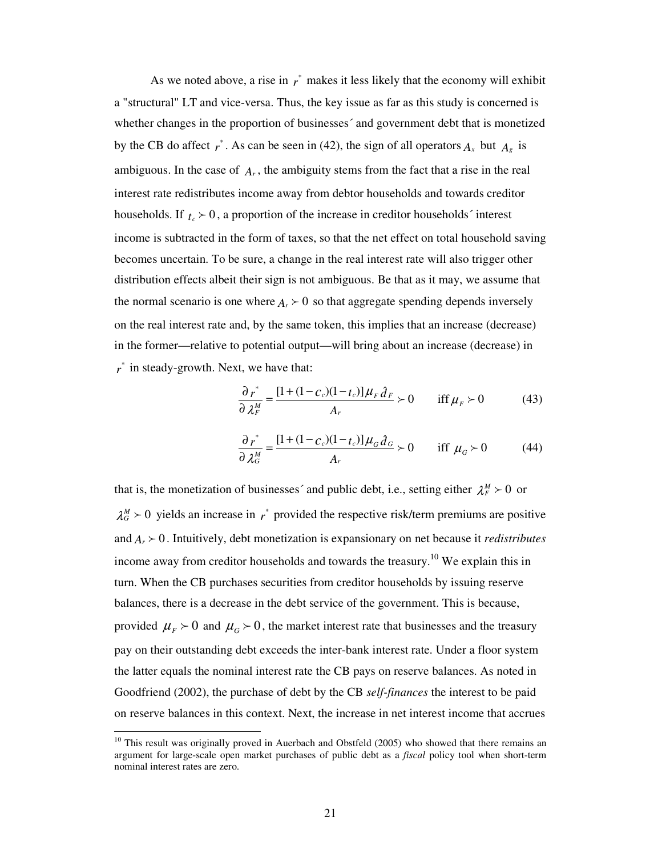As we noted above, a rise in  $r^*$  makes it less likely that the economy will exhibit a "structural" LT and vice-versa. Thus, the key issue as far as this study is concerned is whether changes in the proportion of businesses´ and government debt that is monetized by the CB do affect  $r^*$ . As can be seen in (42), the sign of all operators  $A_x$  but  $A_g$  is ambiguous. In the case of *A<sup>r</sup>* , the ambiguity stems from the fact that a rise in the real interest rate redistributes income away from debtor households and towards creditor households. If  $t_c > 0$ , a proportion of the increase in creditor households´ interest income is subtracted in the form of taxes, so that the net effect on total household saving becomes uncertain. To be sure, a change in the real interest rate will also trigger other distribution effects albeit their sign is not ambiguous. Be that as it may, we assume that the normal scenario is one where  $A_r \geq 0$  so that aggregate spending depends inversely on the real interest rate and, by the same token, this implies that an increase (decrease) in the former—relative to potential output—will bring about an increase (decrease) in *r* \* in steady-growth. Next, we have that:

$$
\frac{\partial r^*}{\partial \lambda_F^M} = \frac{[1 + (1 - c_c)(1 - t_c)]\mu_F \hat{d}_F}{A_r} > 0 \quad \text{iff } \mu_F > 0 \tag{43}
$$

$$
\frac{\partial r^*}{\partial \lambda_G^M} = \frac{[1 + (1 - c_c)(1 - t_c)]\mu_G \hat{d}_G}{A_r} \succ 0 \quad \text{iff } \mu_G \succ 0 \tag{44}
$$

that is, the monetization of businesses' and public debt, i.e., setting either  $\lambda_F^M \succ 0$  or  $\lambda_0^M$  > 0 yields an increase in  $r^*$  provided the respective risk/term premiums are positive and  $A_r \geq 0$ . Intuitively, debt monetization is expansionary on net because it *redistributes* income away from creditor households and towards the treasury.<sup>10</sup> We explain this in turn. When the CB purchases securities from creditor households by issuing reserve balances, there is a decrease in the debt service of the government. This is because, provided  $\mu_F > 0$  and  $\mu_G > 0$ , the market interest rate that businesses and the treasury pay on their outstanding debt exceeds the inter-bank interest rate. Under a floor system the latter equals the nominal interest rate the CB pays on reserve balances. As noted in Goodfriend (2002), the purchase of debt by the CB *self-finances* the interest to be paid on reserve balances in this context. Next, the increase in net interest income that accrues

 $\overline{a}$ 

 $10$  This result was originally proved in Auerbach and Obstfeld (2005) who showed that there remains an argument for large-scale open market purchases of public debt as a *fiscal* policy tool when short-term nominal interest rates are zero.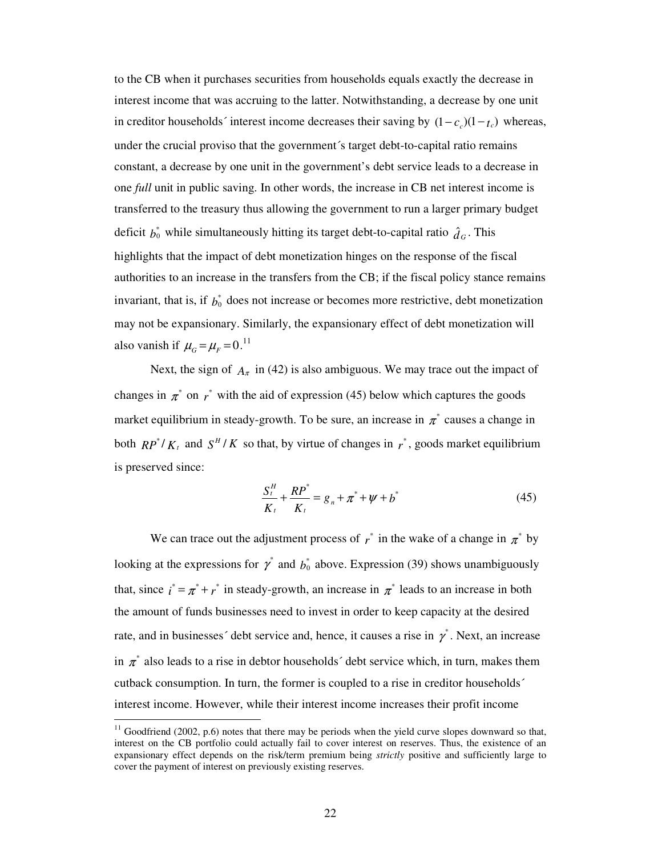to the CB when it purchases securities from households equals exactly the decrease in interest income that was accruing to the latter. Notwithstanding, a decrease by one unit in creditor households´ interest income decreases their saving by  $(1 - c_c)(1 - t_c)$  whereas, under the crucial proviso that the government´s target debt-to-capital ratio remains constant, a decrease by one unit in the government's debt service leads to a decrease in one *full* unit in public saving. In other words, the increase in CB net interest income is transferred to the treasury thus allowing the government to run a larger primary budget deficit  $b_0^*$  while simultaneously hitting its target debt-to-capital ratio  $\hat{d}_G$ . This highlights that the impact of debt monetization hinges on the response of the fiscal authorities to an increase in the transfers from the CB; if the fiscal policy stance remains invariant, that is, if  $b_0^*$  does not increase or becomes more restrictive, debt monetization may not be expansionary. Similarly, the expansionary effect of debt monetization will also vanish if  $\mu_G = \mu_F = 0.11$ 

Next, the sign of  $A_{\pi}$  in (42) is also ambiguous. We may trace out the impact of changes in  $\pi^*$  on  $r^*$  with the aid of expression (45) below which captures the goods market equilibrium in steady-growth. To be sure, an increase in  $\pi^*$  causes a change in both  $RP^*/K_t$  and  $S^H/K$  so that, by virtue of changes in  $r^*$ , goods market equilibrium is preserved since:

$$
\frac{S_t^H}{K_t} + \frac{RP^*}{K_t} = g_n + \pi^* + \psi + b^* \tag{45}
$$

We can trace out the adjustment process of  $r^*$  in the wake of a change in  $\pi^*$  by looking at the expressions for  $\gamma^*$  and  $b_0^*$  above. Expression (39) shows unambiguously that, since  $i^* = \pi^* + r^*$  in steady-growth, an increase in  $\pi^*$  leads to an increase in both the amount of funds businesses need to invest in order to keep capacity at the desired rate, and in businesses' debt service and, hence, it causes a rise in  $\gamma^*$ . Next, an increase in  $\pi^*$  also leads to a rise in debtor households' debt service which, in turn, makes them cutback consumption. In turn, the former is coupled to a rise in creditor households´ interest income. However, while their interest income increases their profit income

 $\overline{a}$ 

 $11$  Goodfriend (2002, p.6) notes that there may be periods when the yield curve slopes downward so that, interest on the CB portfolio could actually fail to cover interest on reserves. Thus, the existence of an expansionary effect depends on the risk/term premium being *strictly* positive and sufficiently large to cover the payment of interest on previously existing reserves.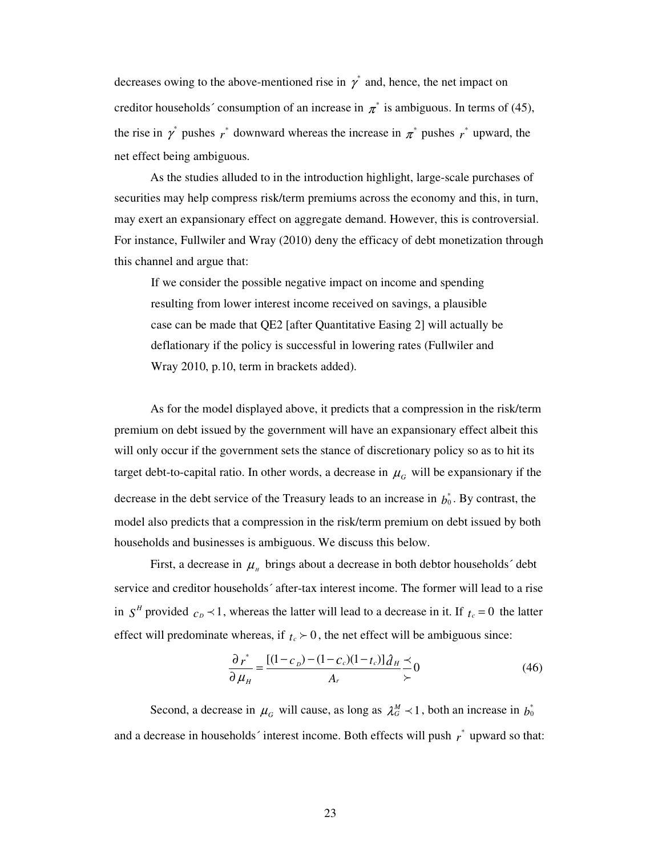decreases owing to the above-mentioned rise in  $\gamma^*$  and, hence, the net impact on creditor households' consumption of an increase in  $\pi^*$  is ambiguous. In terms of (45), the rise in  $\gamma$ <sup>\*</sup> pushes  $r$ <sup>\*</sup> downward whereas the increase in  $\pi$ <sup>\*</sup> pushes  $r$ <sup>\*</sup> upward, the net effect being ambiguous.

As the studies alluded to in the introduction highlight, large-scale purchases of securities may help compress risk/term premiums across the economy and this, in turn, may exert an expansionary effect on aggregate demand. However, this is controversial. For instance, Fullwiler and Wray (2010) deny the efficacy of debt monetization through this channel and argue that:

If we consider the possible negative impact on income and spending resulting from lower interest income received on savings, a plausible case can be made that QE2 [after Quantitative Easing 2] will actually be deflationary if the policy is successful in lowering rates (Fullwiler and Wray 2010, p.10, term in brackets added).

As for the model displayed above, it predicts that a compression in the risk/term premium on debt issued by the government will have an expansionary effect albeit this will only occur if the government sets the stance of discretionary policy so as to hit its target debt-to-capital ratio. In other words, a decrease in  $\mu$ <sub>*G*</sub> will be expansionary if the decrease in the debt service of the Treasury leads to an increase in  $b_0^*$ . By contrast, the model also predicts that a compression in the risk/term premium on debt issued by both households and businesses is ambiguous. We discuss this below.

First, a decrease in  $\mu$ <sub>*H*</sub> brings about a decrease in both debtor households<sup> $\prime$ </sup> debt service and creditor households´ after-tax interest income. The former will lead to a rise in  $S<sup>H</sup>$  provided  $c<sub>D</sub> \prec 1$ , whereas the latter will lead to a decrease in it. If  $t<sub>c</sub> = 0$  the latter effect will predominate whereas, if  $t_c \geq 0$ , the net effect will be ambiguous since:

$$
\frac{\partial r^*}{\partial \mu_H} = \frac{[(1 - c_D) - (1 - c_c)(1 - t_c)]\partial_H}{A_r} \frac{\prec}{\succ} 0
$$
(46)

Second, a decrease in  $\mu_G$  will cause, as long as  $\lambda_G^M \prec 1$ , both an increase in  $b_0^*$ and a decrease in households' interest income. Both effects will push  $r^*$  upward so that: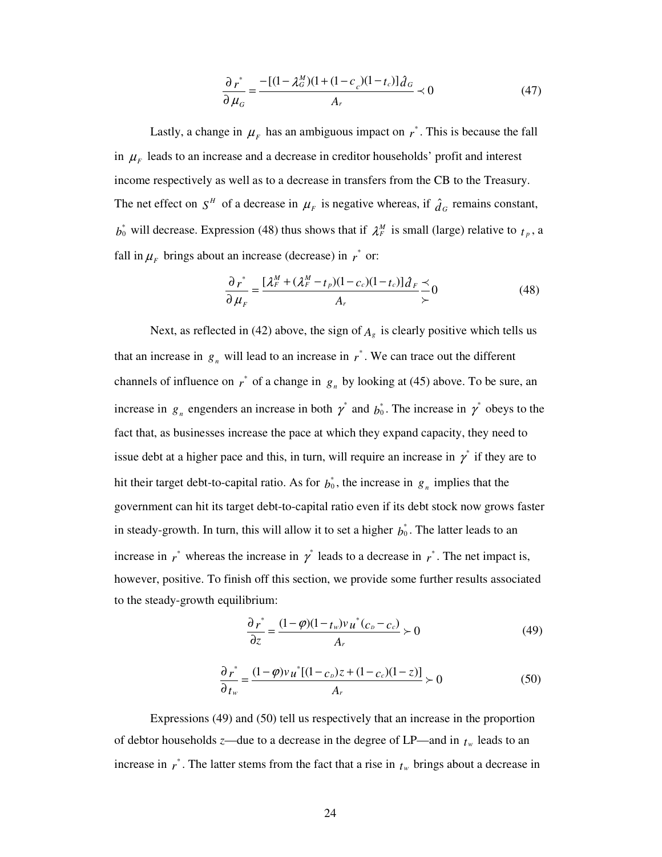$$
\frac{\partial r^*}{\partial \mu_G} = \frac{-[(1 - \lambda_G^M)(1 + (1 - c_c)(1 - t_c)]\hat{d}_G}{A_r} \times 0
$$
(47)

Lastly, a change in  $\mu_F$  has an ambiguous impact on  $r^*$ . This is because the fall in  $\mu_F$  leads to an increase and a decrease in creditor households' profit and interest income respectively as well as to a decrease in transfers from the CB to the Treasury. The net effect on  $S^H$  of a decrease in  $\mu_F$  is negative whereas, if  $\hat{d}_G$  remains constant,  $b_0^*$  will decrease. Expression (48) thus shows that if  $\lambda_F^M$  is small (large) relative to  $t_p$ , a fall in  $\mu_F$  brings about an increase (decrease) in  $r^*$  or:

$$
\frac{\partial r^*}{\partial \mu_F} = \frac{[\lambda_F^M + (\lambda_F^M - t_p)(1 - c_c)(1 - t_c)]\hat{d}_F}{A_r} \frac{\Delta}{\succ} 0
$$
(48)

Next, as reflected in (42) above, the sign of  $A_g$  is clearly positive which tells us that an increase in  $g_n$  will lead to an increase in  $r^*$ . We can trace out the different channels of influence on  $r^*$  of a change in  $g_n$  by looking at (45) above. To be sure, an increase in  $g_n$  engenders an increase in both  $\gamma^*$  and  $b_0^*$ . The increase in  $\gamma^*$  obeys to the fact that, as businesses increase the pace at which they expand capacity, they need to issue debt at a higher pace and this, in turn, will require an increase in  $\gamma^*$  if they are to hit their target debt-to-capital ratio. As for  $b_0^*$ , the increase in  $g_n$  implies that the government can hit its target debt-to-capital ratio even if its debt stock now grows faster in steady-growth. In turn, this will allow it to set a higher  $b_0^*$ . The latter leads to an increase in  $r^*$  whereas the increase in  $r^*$  leads to a decrease in  $r^*$ . The net impact is, however, positive. To finish off this section, we provide some further results associated to the steady-growth equilibrium:

$$
\frac{\partial r^*}{\partial z} = \frac{(1-\varphi)(1-t_w)v u^*(c_b-c_c)}{A_r} \succ 0
$$
\n(49)

$$
\frac{\partial r^*}{\partial t_w} = \frac{(1 - \varphi)v_u^*[(1 - c_v)z + (1 - c_c)(1 - z)]}{A_r} \succ 0
$$
\n(50)

Expressions (49) and (50) tell us respectively that an increase in the proportion of debtor households *z*—due to a decrease in the degree of LP—and in *tw* leads to an increase in  $r^*$ . The latter stems from the fact that a rise in  $t_w$  brings about a decrease in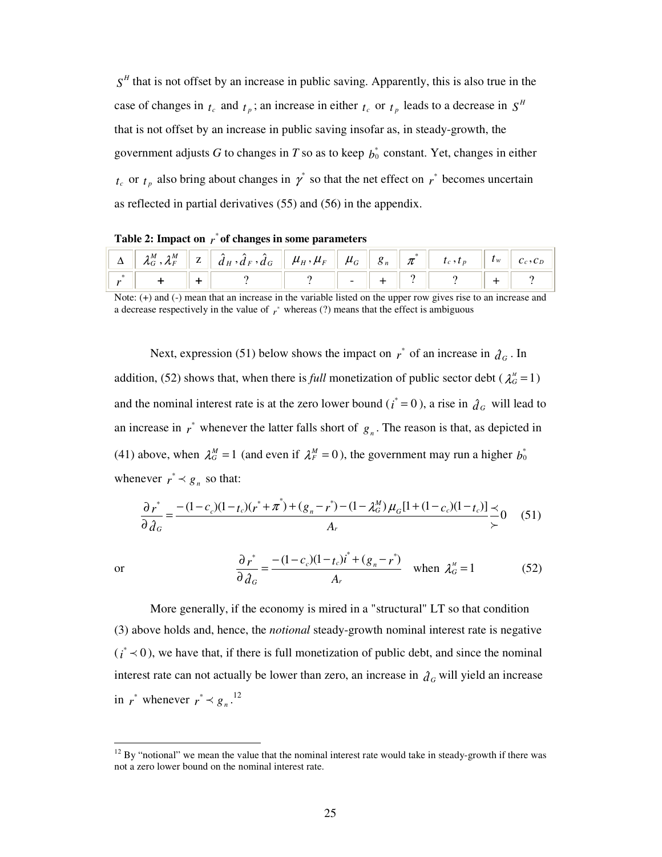$S<sup>H</sup>$  that is not offset by an increase in public saving. Apparently, this is also true in the case of changes in  $t_c$  and  $t_p$ ; an increase in either  $t_c$  or  $t_p$  leads to a decrease in  $S<sup>H</sup>$ that is not offset by an increase in public saving insofar as, in steady-growth, the government adjusts *G* to changes in *T* so as to keep  $b_0^*$  constant. Yet, changes in either  $t_c$  or  $t_p$  also bring about changes in  $\gamma^*$  so that the net effect on  $r^*$  becomes uncertain as reflected in partial derivatives (55) and (56) in the appendix.

 $\Delta \parallel \mathcal{\ \mathcal{X}}_G^M$  ,  $\mathcal{\mathcal{X}}_F^M$  $\hat{H}^M_{F}$  | z |  $\hat{d}_H$  ,  $\hat{d}_F$  ,  $\hat{d}_G$  $\hat{d}_G \parallel \mu_{\scriptscriptstyle H}^{}, \mu_{\scriptscriptstyle F} \parallel \mu_{\scriptscriptstyle G}^{}$  $g_n$  $\pi$ <sup>\*</sup>  $t_c$ ,  $t_p$  $t_w$   $c_c$ ,  $c_p$ *r* \* **|| + || + ||** 2 || 2 || - || + || 2 || - || + || 2

**Table 2: Impact on** *r* \* **of changes in some parameters** 

or

 $\overline{a}$ 

Next, expression (51) below shows the impact on  $r^*$  of an increase in  $\hat{d}_G$ . In addition, (52) shows that, when there is *full* monetization of public sector debt ( $\lambda_G^M = 1$ ) and the nominal interest rate is at the zero lower bound ( $i^* = 0$ ), a rise in  $\hat{d}_G$  will lead to an increase in  $r^*$  whenever the latter falls short of  $g_n$ . The reason is that, as depicted in (41) above, when  $\lambda_G^M = 1$  (and even if  $\lambda_F^M = 0$ ), the government may run a higher  $b_0^*$ whenever  $r^* \prec g_n$  so that:

$$
\frac{\partial r^*}{\partial \partial G} = \frac{-(1-c_c)(1-t_c)(r^* + \pi^*) + (g_n - r^*) - (1 - \lambda_G^M)\mu_G[1 + (1 - c_c)(1 - t_c)]}{A_r} \frac{\lambda_G}{\lambda_0} \tag{51}
$$

$$
\frac{\partial r^*}{\partial \hat{d}_G} = \frac{-(1 - c_c)(1 - t_c)\mathbf{i}^* + (g_n - r^*)}{A_r} \quad \text{when } \lambda_G^M = 1 \tag{52}
$$

More generally, if the economy is mired in a "structural" LT so that condition (3) above holds and, hence, the *notional* steady-growth nominal interest rate is negative  $(i^* \lt 0)$ , we have that, if there is full monetization of public debt, and since the nominal interest rate can not actually be lower than zero, an increase in  $\hat{d}_G$  will yield an increase in  $r^*$  whenever  $r^* \prec g_n$ .<sup>12</sup>

Note: (+) and (-) mean that an increase in the variable listed on the upper row gives rise to an increase and a decrease respectively in the value of  $r^*$  whereas (?) means that the effect is ambiguous

 $12$  By "notional" we mean the value that the nominal interest rate would take in steady-growth if there was not a zero lower bound on the nominal interest rate.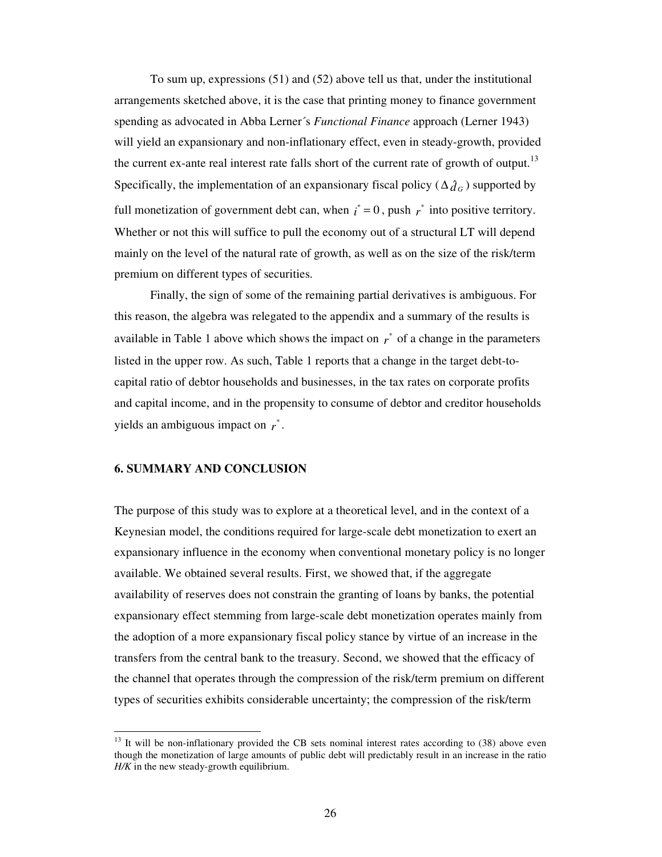To sum up, expressions (51) and (52) above tell us that, under the institutional arrangements sketched above, it is the case that printing money to finance government spending as advocated in Abba Lerner´s *Functional Finance* approach (Lerner 1943) will yield an expansionary and non-inflationary effect, even in steady-growth, provided the current ex-ante real interest rate falls short of the current rate of growth of output.<sup>13</sup> Specifically, the implementation of an expansionary fiscal policy ( $\Delta \hat{d}_G$ ) supported by full monetization of government debt can, when  $i^* = 0$ , push  $r^*$  into positive territory. Whether or not this will suffice to pull the economy out of a structural LT will depend mainly on the level of the natural rate of growth, as well as on the size of the risk/term premium on different types of securities.

Finally, the sign of some of the remaining partial derivatives is ambiguous. For this reason, the algebra was relegated to the appendix and a summary of the results is available in Table 1 above which shows the impact on  $r^*$  of a change in the parameters listed in the upper row. As such, Table 1 reports that a change in the target debt-tocapital ratio of debtor households and businesses, in the tax rates on corporate profits and capital income, and in the propensity to consume of debtor and creditor households yields an ambiguous impact on *r* \* .

### **6. SUMMARY AND CONCLUSION**

 $\overline{a}$ 

The purpose of this study was to explore at a theoretical level, and in the context of a Keynesian model, the conditions required for large-scale debt monetization to exert an expansionary influence in the economy when conventional monetary policy is no longer available. We obtained several results. First, we showed that, if the aggregate availability of reserves does not constrain the granting of loans by banks, the potential expansionary effect stemming from large-scale debt monetization operates mainly from the adoption of a more expansionary fiscal policy stance by virtue of an increase in the transfers from the central bank to the treasury. Second, we showed that the efficacy of the channel that operates through the compression of the risk/term premium on different types of securities exhibits considerable uncertainty; the compression of the risk/term

 $13$  It will be non-inflationary provided the CB sets nominal interest rates according to  $(38)$  above even though the monetization of large amounts of public debt will predictably result in an increase in the ratio *H/K* in the new steady-growth equilibrium.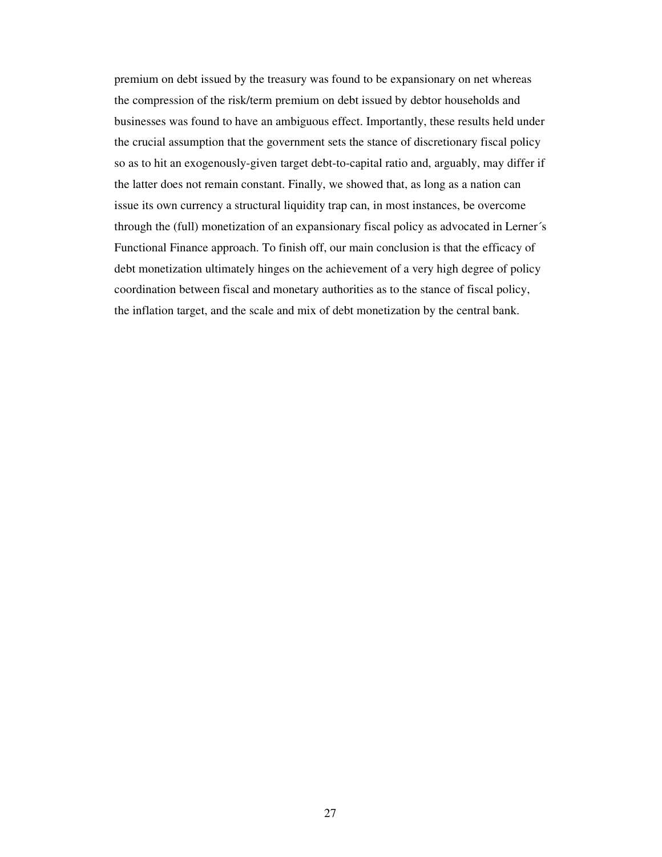premium on debt issued by the treasury was found to be expansionary on net whereas the compression of the risk/term premium on debt issued by debtor households and businesses was found to have an ambiguous effect. Importantly, these results held under the crucial assumption that the government sets the stance of discretionary fiscal policy so as to hit an exogenously-given target debt-to-capital ratio and, arguably, may differ if the latter does not remain constant. Finally, we showed that, as long as a nation can issue its own currency a structural liquidity trap can, in most instances, be overcome through the (full) monetization of an expansionary fiscal policy as advocated in Lerner´s Functional Finance approach. To finish off, our main conclusion is that the efficacy of debt monetization ultimately hinges on the achievement of a very high degree of policy coordination between fiscal and monetary authorities as to the stance of fiscal policy, the inflation target, and the scale and mix of debt monetization by the central bank.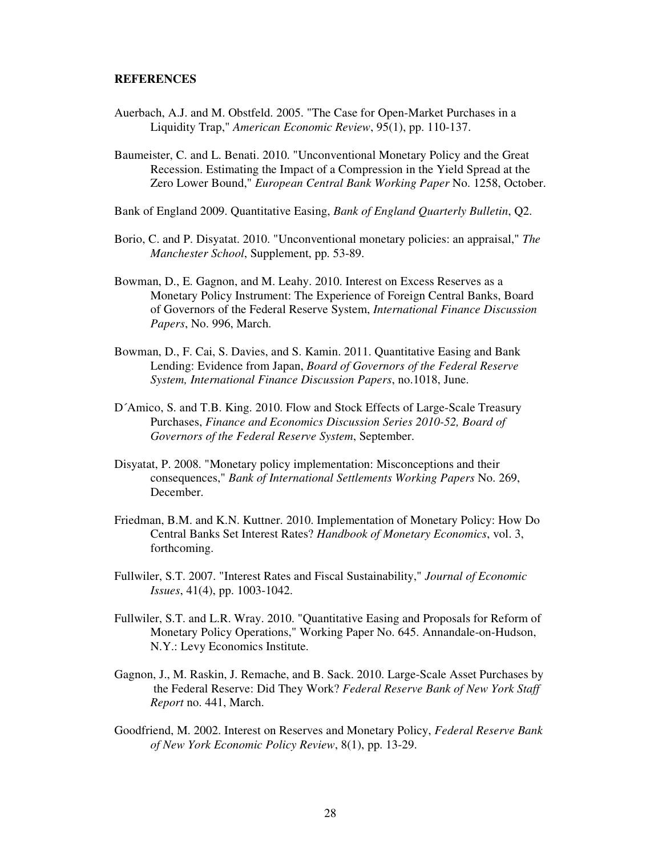### **REFERENCES**

- Auerbach, A.J. and M. Obstfeld. 2005. "The Case for Open-Market Purchases in a Liquidity Trap," *American Economic Review*, 95(1), pp. 110-137.
- Baumeister, C. and L. Benati. 2010. "Unconventional Monetary Policy and the Great Recession. Estimating the Impact of a Compression in the Yield Spread at the Zero Lower Bound," *European Central Bank Working Paper* No. 1258, October.

Bank of England 2009. Quantitative Easing, *Bank of England Quarterly Bulletin*, Q2.

- Borio, C. and P. Disyatat. 2010. "Unconventional monetary policies: an appraisal," *The Manchester School*, Supplement, pp. 53-89.
- Bowman, D., E. Gagnon, and M. Leahy. 2010. Interest on Excess Reserves as a Monetary Policy Instrument: The Experience of Foreign Central Banks, Board of Governors of the Federal Reserve System, *International Finance Discussion Papers*, No. 996, March.
- Bowman, D., F. Cai, S. Davies, and S. Kamin. 2011. Quantitative Easing and Bank Lending: Evidence from Japan, *Board of Governors of the Federal Reserve System, International Finance Discussion Papers*, no.1018, June.
- D´Amico, S. and T.B. King. 2010. Flow and Stock Effects of Large-Scale Treasury Purchases, *Finance and Economics Discussion Series 2010-52, Board of Governors of the Federal Reserve System*, September.
- Disyatat, P. 2008. "Monetary policy implementation: Misconceptions and their consequences," *Bank of International Settlements Working Papers* No. 269, December.
- Friedman, B.M. and K.N. Kuttner. 2010. Implementation of Monetary Policy: How Do Central Banks Set Interest Rates? *Handbook of Monetary Economics*, vol. 3, forthcoming.
- Fullwiler, S.T. 2007. "Interest Rates and Fiscal Sustainability," *Journal of Economic Issues*, 41(4), pp. 1003-1042.
- Fullwiler, S.T. and L.R. Wray. 2010. "Quantitative Easing and Proposals for Reform of Monetary Policy Operations," Working Paper No. 645. Annandale-on-Hudson, N.Y.: Levy Economics Institute.
- Gagnon, J., M. Raskin, J. Remache, and B. Sack. 2010. Large-Scale Asset Purchases by the Federal Reserve: Did They Work? *Federal Reserve Bank of New York Staff Report* no. 441, March.
- Goodfriend, M. 2002. Interest on Reserves and Monetary Policy, *Federal Reserve Bank of New York Economic Policy Review*, 8(1), pp. 13-29.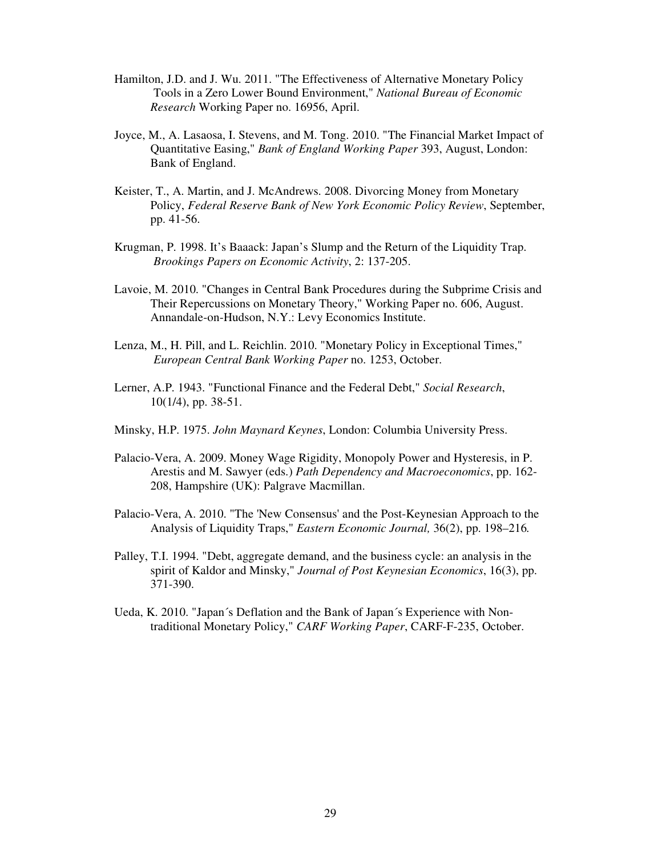- Hamilton, J.D. and J. Wu. 2011. "The Effectiveness of Alternative Monetary Policy Tools in a Zero Lower Bound Environment," *National Bureau of Economic Research* Working Paper no. 16956, April.
- Joyce, M., A. Lasaosa, I. Stevens, and M. Tong. 2010. "The Financial Market Impact of Quantitative Easing," *Bank of England Working Paper* 393, August, London: Bank of England.
- Keister, T., A. Martin, and J. McAndrews. 2008. Divorcing Money from Monetary Policy, *Federal Reserve Bank of New York Economic Policy Review*, September, pp. 41-56.
- Krugman, P. 1998. It's Baaack: Japan's Slump and the Return of the Liquidity Trap. *Brookings Papers on Economic Activity*, 2: 137-205.
- Lavoie, M. 2010. "Changes in Central Bank Procedures during the Subprime Crisis and Their Repercussions on Monetary Theory," Working Paper no. 606, August. Annandale-on-Hudson, N.Y.: Levy Economics Institute.
- Lenza, M., H. Pill, and L. Reichlin. 2010. "Monetary Policy in Exceptional Times," *European Central Bank Working Paper* no. 1253, October.
- Lerner, A.P. 1943. "Functional Finance and the Federal Debt," *Social Research*, 10(1/4), pp. 38-51.
- Minsky, H.P. 1975. *John Maynard Keynes*, London: Columbia University Press.
- Palacio-Vera, A. 2009. Money Wage Rigidity, Monopoly Power and Hysteresis, in P. Arestis and M. Sawyer (eds.) *Path Dependency and Macroeconomics*, pp. 162- 208, Hampshire (UK): Palgrave Macmillan.
- Palacio-Vera, A. 2010. "The 'New Consensus' and the Post-Keynesian Approach to the Analysis of Liquidity Traps," *Eastern Economic Journal,* 36(2), pp. 198–216*.*
- Palley, T.I. 1994. "Debt, aggregate demand, and the business cycle: an analysis in the spirit of Kaldor and Minsky," *Journal of Post Keynesian Economics*, 16(3), pp. 371-390.
- Ueda, K. 2010. "Japan´s Deflation and the Bank of Japan´s Experience with Non traditional Monetary Policy," *CARF Working Paper*, CARF-F-235, October.